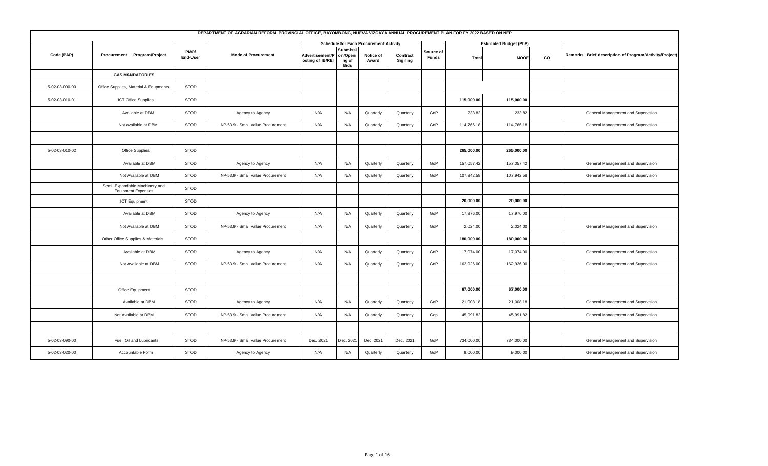| DEPARTMENT OF AGRARIAN REFORM PROVINCIAL OFFICE, BAYOMBONG, NUEVA VIZCAYA ANNUAL PROCUREMENT PLAN FOR FY 2022 BASED ON NEP<br><b>Schedule for Each Procurement Activity</b><br><b>Estimated Budget (PhP)</b><br>Submissi<br>PMO/<br>Source of |                                                              |             |                                   |                                     |                           |                    |                     |       |            |             |    |                                                        |  |
|-----------------------------------------------------------------------------------------------------------------------------------------------------------------------------------------------------------------------------------------------|--------------------------------------------------------------|-------------|-----------------------------------|-------------------------------------|---------------------------|--------------------|---------------------|-------|------------|-------------|----|--------------------------------------------------------|--|
|                                                                                                                                                                                                                                               |                                                              |             |                                   |                                     |                           |                    |                     |       |            |             |    |                                                        |  |
| Code (PAP)                                                                                                                                                                                                                                    | Procurement Program/Project                                  | End-User    | <b>Mode of Procurement</b>        | Advertisement/P<br>osting of IB/REI | on/Openi<br>ng of<br>Bids | Notice of<br>Award | Contract<br>Signing | Funds | Total      | <b>MOOE</b> | co | Remarks Brief description of Program/Activity/Project) |  |
|                                                                                                                                                                                                                                               | <b>GAS MANDATORIES</b>                                       |             |                                   |                                     |                           |                    |                     |       |            |             |    |                                                        |  |
| 5-02-03-000-00                                                                                                                                                                                                                                | Office Supplies, Material & Equpments                        | <b>STOD</b> |                                   |                                     |                           |                    |                     |       |            |             |    |                                                        |  |
| 5-02-03-010-01                                                                                                                                                                                                                                | <b>ICT Office Supplies</b>                                   | <b>STOD</b> |                                   |                                     |                           |                    |                     |       | 115,000.00 | 115,000.00  |    |                                                        |  |
|                                                                                                                                                                                                                                               | Available at DBM                                             | <b>STOD</b> | Agency to Agency                  | N/A                                 | N/A                       | Quarterly          | Quarterly           | GoP   | 233.82     | 233.82      |    | General Management and Supervision                     |  |
|                                                                                                                                                                                                                                               | Not available at DBM                                         | <b>STOD</b> | NP-53.9 - Small Value Procurement | N/A                                 | N/A                       | Quarterly          | Quarterly           | GoP   | 114,766.18 | 114,766.18  |    | General Management and Supervision                     |  |
|                                                                                                                                                                                                                                               |                                                              |             |                                   |                                     |                           |                    |                     |       |            |             |    |                                                        |  |
| 5-02-03-010-02                                                                                                                                                                                                                                | Office Supplies                                              | <b>STOD</b> |                                   |                                     |                           |                    |                     |       | 265,000.00 | 265,000.00  |    |                                                        |  |
|                                                                                                                                                                                                                                               | Available at DBM                                             | <b>STOD</b> | Agency to Agency                  | N/A                                 | N/A                       | Quarterly          | Quarterly           | GoP   | 157,057.42 | 157,057.42  |    | General Management and Supervision                     |  |
|                                                                                                                                                                                                                                               | Not Available at DBM                                         | <b>STOD</b> | NP-53.9 - Small Value Procurement | N/A                                 | N/A                       | Quarterly          | Quarterly           | GoP   | 107,942.58 | 107,942.58  |    | General Management and Supervision                     |  |
|                                                                                                                                                                                                                                               | Semi - Expandable Machinery and<br><b>Equipment Expenses</b> | <b>STOD</b> |                                   |                                     |                           |                    |                     |       |            |             |    |                                                        |  |
|                                                                                                                                                                                                                                               | <b>ICT Equipment</b>                                         | <b>STOD</b> |                                   |                                     |                           |                    |                     |       | 20,000.00  | 20,000.00   |    |                                                        |  |
|                                                                                                                                                                                                                                               | Available at DBM                                             | <b>STOD</b> | Agency to Agency                  | N/A                                 | N/A                       | Quarterly          | Quarterly           | GoP   | 17,976.00  | 17,976.00   |    |                                                        |  |
|                                                                                                                                                                                                                                               | Not Available at DBM                                         | <b>STOD</b> | NP-53.9 - Small Value Procurement | N/A                                 | N/A                       | Quarterly          | Quarterly           | GoP   | 2,024.00   | 2,024.00    |    | General Management and Supervision                     |  |
|                                                                                                                                                                                                                                               | Other Office Supplies & Materials                            | <b>STOD</b> |                                   |                                     |                           |                    |                     |       | 180,000.00 | 180,000.00  |    |                                                        |  |
|                                                                                                                                                                                                                                               | Available at DBM                                             | <b>STOD</b> | Agency to Agency                  | N/A                                 | N/A                       | Quarterly          | Quarterly           | GoP   | 17,074.00  | 17,074.00   |    | General Management and Supervision                     |  |
|                                                                                                                                                                                                                                               | Not Available at DBM                                         | <b>STOD</b> | NP-53.9 - Small Value Procurement | N/A                                 | N/A                       | Quarterly          | Quarterly           | GoP   | 162,926.00 | 162,926.00  |    | General Management and Supervision                     |  |
|                                                                                                                                                                                                                                               |                                                              |             |                                   |                                     |                           |                    |                     |       |            |             |    |                                                        |  |
|                                                                                                                                                                                                                                               | Office Equipment                                             | <b>STOD</b> |                                   |                                     |                           |                    |                     |       | 67,000.00  | 67,000.00   |    |                                                        |  |
|                                                                                                                                                                                                                                               | Available at DBM                                             | <b>STOD</b> | Agency to Agency                  | N/A                                 | N/A                       | Quarterly          | Quarterly           | GoP   | 21,008.18  | 21,008.18   |    | General Management and Supervision                     |  |
|                                                                                                                                                                                                                                               | Not Available at DBM                                         | <b>STOD</b> | NP-53.9 - Small Value Procurement | N/A                                 | N/A                       | Quarterly          | Quarterly           | Gop   | 45,991.82  | 45,991.82   |    | General Management and Supervision                     |  |
|                                                                                                                                                                                                                                               |                                                              |             |                                   |                                     |                           |                    |                     |       |            |             |    |                                                        |  |
| 5-02-03-090-00                                                                                                                                                                                                                                | Fuel, Oil and Lubricants                                     | <b>STOD</b> | NP-53.9 - Small Value Procurement | Dec. 2021                           | Dec. 2021                 | Dec. 2021          | Dec. 2021           | GoP   | 734,000.00 | 734,000.00  |    | General Management and Supervision                     |  |
| 5-02-03-020-00                                                                                                                                                                                                                                | Accountable Form                                             | <b>STOD</b> | Agency to Agency                  | N/A                                 | N/A                       | Quarterly          | Quarterly           | GoP   | 9,000.00   | 9,000.00    |    | General Management and Supervision                     |  |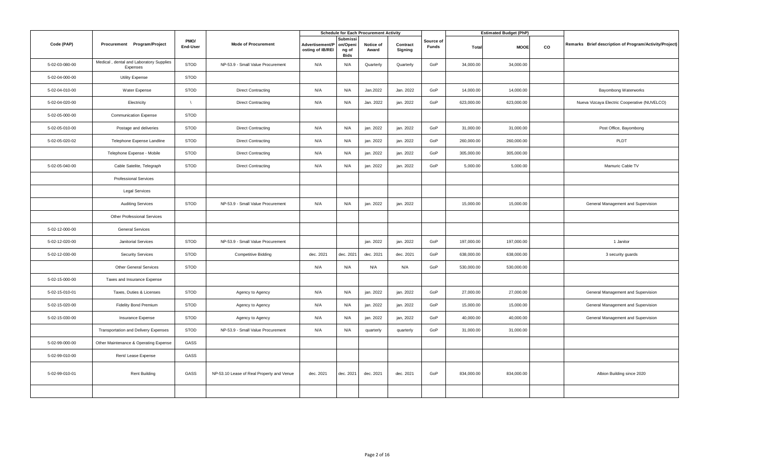|                |                                                     |                  |                                           |                                     |                                              | <b>Schedule for Each Procurement Activity</b> |                     |                           |            | <b>Estimated Budget (PhP)</b> |    |                                                        |
|----------------|-----------------------------------------------------|------------------|-------------------------------------------|-------------------------------------|----------------------------------------------|-----------------------------------------------|---------------------|---------------------------|------------|-------------------------------|----|--------------------------------------------------------|
| Code (PAP)     | Procurement Program/Project                         | PMO/<br>End-User | <b>Mode of Procurement</b>                | Advertisement/P<br>osting of IB/REI | Submissi<br>on/Openi<br>ng of<br><b>Bids</b> | Notice of<br>Award                            | Contract<br>Signing | Source of<br><b>Funds</b> | Total      | <b>MOOE</b>                   | co | Remarks Brief description of Program/Activity/Project) |
| 5-02-03-080-00 | Medical, dental and Laboratory Supplies<br>Expenses | <b>STOD</b>      | NP-53.9 - Small Value Procurement         | N/A                                 | N/A                                          | Quarterly                                     | Quarterly           | GoP                       | 34,000.00  | 34,000.00                     |    |                                                        |
| 5-02-04-000-00 | <b>Utility Expense</b>                              | <b>STOD</b>      |                                           |                                     |                                              |                                               |                     |                           |            |                               |    |                                                        |
| 5-02-04-010-00 | Water Expense                                       | <b>STOD</b>      | <b>Direct Contracting</b>                 | N/A                                 | N/A                                          | Jan.2022                                      | Jan. 2022           | GoP                       | 14,000.00  | 14,000.00                     |    | Bayombong Waterworks                                   |
| 5-02-04-020-00 | Electricity                                         | $\sqrt{ }$       | <b>Direct Contracting</b>                 | N/A                                 | N/A                                          | Jan. 2022                                     | ian. 2022           | GoP                       | 623,000.00 | 623,000.00                    |    | Nueva Vizcaya Electric Cooperative (NUVELCO)           |
| 5-02-05-000-00 | <b>Communication Expense</b>                        | STOD             |                                           |                                     |                                              |                                               |                     |                           |            |                               |    |                                                        |
| 5-02-05-010-00 | Postage and deliveries                              | <b>STOD</b>      | <b>Direct Contracting</b>                 | N/A                                 | N/A                                          | jan. 2022                                     | jan. 2022           | GoP                       | 31,000.00  | 31,000.00                     |    | Post Office, Bayombong                                 |
| 5-02-05-020-02 | Telephone Expense Landline                          | <b>STOD</b>      | <b>Direct Contracting</b>                 | N/A                                 | N/A                                          | jan. 2022                                     | jan. 2022           | GoP                       | 260,000.00 | 260,000.00                    |    | PLDT                                                   |
|                | Telephone Expense - Mobile                          | STOD             | <b>Direct Contracting</b>                 | N/A                                 | N/A                                          | jan. 2022                                     | jan. 2022           | GoP                       | 305,000.00 | 305,000.00                    |    |                                                        |
| 5-02-05-040-00 | Cable Satelite, Telegraph                           | <b>STOD</b>      | <b>Direct Contracting</b>                 | N/A                                 | N/A                                          | jan. 2022                                     | jan. 2022           | GoP                       | 5,000.00   | 5,000.00                      |    | Mamuric Cable TV                                       |
|                | <b>Professional Services</b>                        |                  |                                           |                                     |                                              |                                               |                     |                           |            |                               |    |                                                        |
|                | <b>Legal Services</b>                               |                  |                                           |                                     |                                              |                                               |                     |                           |            |                               |    |                                                        |
|                | <b>Auditing Services</b>                            | <b>STOD</b>      | NP-53.9 - Small Value Procurement         | N/A                                 | N/A                                          | jan. 2022                                     | jan. 2022           |                           | 15,000.00  | 15,000.00                     |    | General Management and Supervision                     |
|                | Other Professional Services                         |                  |                                           |                                     |                                              |                                               |                     |                           |            |                               |    |                                                        |
| 5-02-12-000-00 | <b>General Services</b>                             |                  |                                           |                                     |                                              |                                               |                     |                           |            |                               |    |                                                        |
| 5-02-12-020-00 | Janitorial Services                                 | <b>STOD</b>      | NP-53.9 - Small Value Procurement         |                                     |                                              | jan. 2022                                     | jan. 2022           | GoP                       | 197,000.00 | 197,000.00                    |    | 1 Janitor                                              |
| 5-02-12-030-00 | <b>Security Services</b>                            | <b>STOD</b>      | <b>Competitive Bidding</b>                | dec. 2021                           | dec. 2021                                    | dec. 2021                                     | dec. 2021           | GoP                       | 638,000.00 | 638,000.00                    |    | 3 security guards                                      |
|                | <b>Other General Services</b>                       | <b>STOD</b>      |                                           | N/A                                 | N/A                                          | N/A                                           | N/A                 | GoP                       | 530,000.00 | 530,000.00                    |    |                                                        |
| 5-02-15-000-00 | Taxes and Insurance Expense                         |                  |                                           |                                     |                                              |                                               |                     |                           |            |                               |    |                                                        |
| 5-02-15-010-01 | Taxes, Duties & Licenses                            | <b>STOD</b>      | Agency to Agency                          | N/A                                 | N/A                                          | jan. 2022                                     | jan. 2022           | GoP                       | 27,000.00  | 27,000.00                     |    | General Management and Supervision                     |
| 5-02-15-020-00 | <b>Fidelity Bond Premium</b>                        | <b>STOD</b>      | Agency to Agency                          | N/A                                 | N/A                                          | jan. 2022                                     | jan. 2022           | GoP                       | 15,000.00  | 15,000.00                     |    | General Management and Supervision                     |
| 5-02-15-030-00 | Insurance Expense                                   | <b>STOD</b>      | Agency to Agency                          | N/A                                 | N/A                                          | jan. 2022                                     | jan, 2022           | GoP                       | 40,000.00  | 40,000.00                     |    | General Management and Supervision                     |
|                | Transportation and Delivery Expenses                | STOD             | NP-53.9 - Small Value Procurement         | N/A                                 | N/A                                          | quarterly                                     | quarterly           | GoP                       | 31,000.00  | 31,000.00                     |    |                                                        |
| 5-02-99-000-00 | Other Maintenance & Operating Expense               | GASS             |                                           |                                     |                                              |                                               |                     |                           |            |                               |    |                                                        |
| 5-02-99-010-00 | Rent/ Lease Expense                                 | GASS             |                                           |                                     |                                              |                                               |                     |                           |            |                               |    |                                                        |
| 5-02-99-010-01 | <b>Rent Building</b>                                | GASS             | NP-53.10 Lease of Real Property and Venue | dec. 2021                           | dec. 2021                                    | dec. 2021                                     | dec. 2021           | GoP                       | 834,000.00 | 834,000.00                    |    | Albion Building since 2020                             |
|                |                                                     |                  |                                           |                                     |                                              |                                               |                     |                           |            |                               |    |                                                        |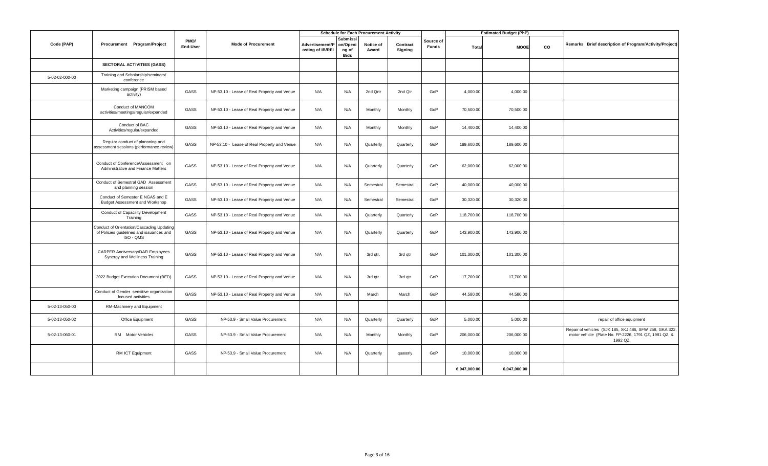|                |                                                                                                    |                  |                                             |                                     |                                              | <b>Schedule for Each Procurement Activity</b> |                     |                    |              | <b>Estimated Budget (PhP)</b> |    |                                                                                                                             |
|----------------|----------------------------------------------------------------------------------------------------|------------------|---------------------------------------------|-------------------------------------|----------------------------------------------|-----------------------------------------------|---------------------|--------------------|--------------|-------------------------------|----|-----------------------------------------------------------------------------------------------------------------------------|
| Code (PAP)     | Procurement Program/Project                                                                        | PMO/<br>End-User | <b>Mode of Procurement</b>                  | Advertisement/P<br>osting of IB/REI | Submissi<br>on/Openi<br>ng of<br><b>Bids</b> | Notice of<br>Award                            | Contract<br>Signing | Source of<br>Funds | Total        | <b>MOOE</b>                   | CO | Remarks Brief description of Program/Activity/Project)                                                                      |
|                | <b>SECTORAL ACTIVITIES (GASS)</b>                                                                  |                  |                                             |                                     |                                              |                                               |                     |                    |              |                               |    |                                                                                                                             |
| 5-02-02-000-00 | Training and Scholarship/seminars/<br>conference                                                   |                  |                                             |                                     |                                              |                                               |                     |                    |              |                               |    |                                                                                                                             |
|                | Marketing campaign (PRISM based<br>activity)                                                       | GASS             | NP-53.10 - Lease of Real Property and Venue | N/A                                 | N/A                                          | 2nd Qrtr                                      | 2nd Qtr             | GoP                | 4,000.00     | 4,000.00                      |    |                                                                                                                             |
|                | Conduct of MANCOM<br>activities/meetings/regular/expanded                                          | GASS             | NP-53.10 - Lease of Real Property and Venue | N/A                                 | N/A                                          | Monthly                                       | Monthly             | GoP                | 70,500.00    | 70,500.00                     |    |                                                                                                                             |
|                | Conduct of BAC<br>Activities/regular/expanded                                                      | GASS             | NP-53.10 - Lease of Real Property and Venue | N/A                                 | N/A                                          | Monthly                                       | Monthly             | GoP                | 14,400.00    | 14,400.00                     |    |                                                                                                                             |
|                | Regular conduct of plannning and<br>assessment sessions (performance review)                       | GASS             | NP-53.10 - Lease of Real Property and Venue | N/A                                 | N/A                                          | Quarterly                                     | Quarterly           | GoP                | 189,600.00   | 189,600.00                    |    |                                                                                                                             |
|                | Conduct of Conference/Assessment on<br>Administrative and Finance Matters                          | GASS             | NP-53.10 - Lease of Real Property and Venue | N/A                                 | N/A                                          | Quarterly                                     | Quarterly           | GoP                | 62,000.00    | 62,000.00                     |    |                                                                                                                             |
|                | Conduct of Semestral GAD Assessment<br>and planning session                                        | GASS             | NP-53.10 - Lease of Real Property and Venue | N/A                                 | N/A                                          | Semestral                                     | Semestral           | GoP                | 40,000.00    | 40,000.00                     |    |                                                                                                                             |
|                | Conduct of Semester E NGAS and E<br>Budget Assessment and Workshop                                 | GASS             | NP-53.10 - Lease of Real Property and Venue | N/A                                 | N/A                                          | Semestral                                     | Semestral           | GoP                | 30,320.00    | 30,320.00                     |    |                                                                                                                             |
|                | <b>Conduct of Capacility Development</b><br>Training                                               | GASS             | NP-53.10 - Lease of Real Property and Venue | N/A                                 | N/A                                          | Quarterly                                     | Quarterly           | GoP                | 118,700.00   | 118,700.00                    |    |                                                                                                                             |
|                | Conduct of Orientation/Cascading Updating<br>of Policies guidelines and issuances and<br>ISO - QMS | GASS             | NP-53.10 - Lease of Real Property and Venue | N/A                                 | N/A                                          | Quarterly                                     | Quarterly           | GoP                | 143,900.00   | 143,900.00                    |    |                                                                                                                             |
|                | CARPER Anniversary/DAR Employees<br>Synergy and WellIness Training                                 | GASS             | NP-53.10 - Lease of Real Property and Venue | N/A                                 | N/A                                          | 3rd qtr.                                      | 3rd qtr             | GoP                | 101,300.00   | 101,300.00                    |    |                                                                                                                             |
|                | 2022 Budget Execution Document (BED)                                                               | GASS             | NP-53.10 - Lease of Real Property and Venue | N/A                                 | N/A                                          | 3rd gtr.                                      | 3rd gtr             | GoP                | 17,700.00    | 17,700.00                     |    |                                                                                                                             |
|                | Conduct of Gender sensitive organization<br>focused activities                                     | GASS             | NP-53.10 - Lease of Real Property and Venue | N/A                                 | N/A                                          | March                                         | March               | GoP                | 44,580.00    | 44,580.00                     |    |                                                                                                                             |
| 5-02-13-050-00 | RM-Machinery and Equipment                                                                         |                  |                                             |                                     |                                              |                                               |                     |                    |              |                               |    |                                                                                                                             |
| 5-02-13-050-02 | Office Equipment                                                                                   | GASS             | NP-53.9 - Small Value Procurement           | N/A                                 | N/A                                          | Quarterly                                     | Quarterly           | GoP                | 5,000.00     | 5,000.00                      |    | repair of office equipment                                                                                                  |
| 5-02-13-060-01 | RM Motor Vehicles                                                                                  | GASS             | NP-53.9 - Small Value Procurement           | N/A                                 | N/A                                          | Monthly                                       | Monthly             | GoP                | 206,000.00   | 206,000.00                    |    | Repair of vehicles (SJK 185, XKJ 486, SFW 258, GKA 322,<br>motor vehicle (Plate No. FP-2226, 1791 QZ, 1981 QZ, &<br>1992 QZ |
|                | RM ICT Equipment                                                                                   | GASS             | NP-53.9 - Small Value Procurement           | N/A                                 | N/A                                          | Quarterly                                     | quaterly            | GoP                | 10,000.00    | 10,000.00                     |    |                                                                                                                             |
|                |                                                                                                    |                  |                                             |                                     |                                              |                                               |                     |                    | 6.047.000.00 | 6,047,000.00                  |    |                                                                                                                             |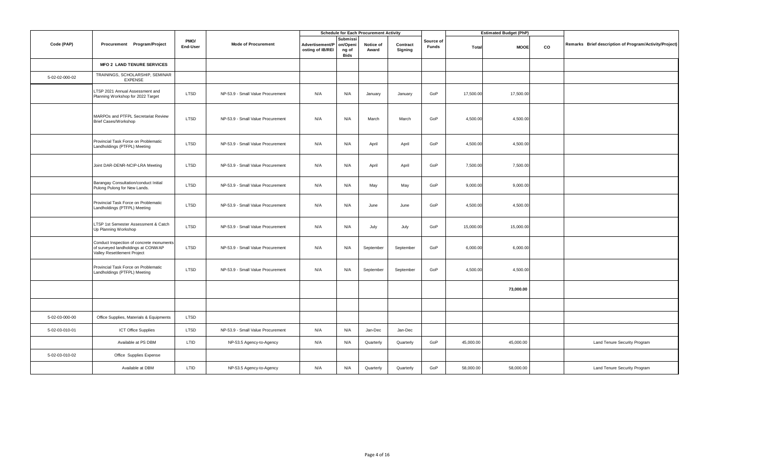|                |                                                                                                               |                  |                                   |                                     |                                       | <b>Schedule for Each Procurement Activity</b> |                     |                    |           | <b>Estimated Budget (PhP)</b> |    |                                                        |
|----------------|---------------------------------------------------------------------------------------------------------------|------------------|-----------------------------------|-------------------------------------|---------------------------------------|-----------------------------------------------|---------------------|--------------------|-----------|-------------------------------|----|--------------------------------------------------------|
| Code (PAP)     | Procurement Program/Project                                                                                   | PMO/<br>End-User | <b>Mode of Procurement</b>        | Advertisement/P<br>osting of IB/REI | Submissi<br>on/Openi<br>ng of<br>Bids | Notice of<br>Award                            | Contract<br>Signing | Source of<br>Funds | Total     | <b>MOOE</b>                   | co | Remarks Brief description of Program/Activity/Project) |
|                | <b>MFO 2 LAND TENURE SERVICES</b>                                                                             |                  |                                   |                                     |                                       |                                               |                     |                    |           |                               |    |                                                        |
| 5-02-02-000-02 | TRAININGS, SCHOLARSHIP, SEMINAR<br><b>EXPENSE</b>                                                             |                  |                                   |                                     |                                       |                                               |                     |                    |           |                               |    |                                                        |
|                | LTSP 2021 Annual Assessment and<br>Planning Workshop for 2022 Target                                          | LTSD             | NP-53.9 - Small Value Procurement | N/A                                 | N/A                                   | January                                       | January             | GoP                | 17,500.00 | 17,500.00                     |    |                                                        |
|                | MARPOs and PTFPL Secretariat Review<br>Brief Cases/Workshop                                                   | <b>LTSD</b>      | NP-53.9 - Small Value Procurement | N/A                                 | N/A                                   | March                                         | March               | GoP                | 4,500.00  | 4,500.00                      |    |                                                        |
|                | Provincial Task Force on Problematic<br>Landholdings (PTFPL) Meeting                                          | LTSD             | NP-53.9 - Small Value Procurement | N/A                                 | N/A                                   | April                                         | April               | GoP                | 4,500.00  | 4,500.00                      |    |                                                        |
|                | Joint DAR-DENR-NCIP-LRA Meeting                                                                               | <b>LTSD</b>      | NP-53.9 - Small Value Procurement | N/A                                 | N/A                                   | April                                         | April               | GoP                | 7,500.00  | 7,500.00                      |    |                                                        |
|                | Barangay Consultation/conduct Initial<br>Pulong Pulong for New Lands.                                         | LTSD             | NP-53.9 - Small Value Procurement | N/A                                 | N/A                                   | May                                           | May                 | GoP                | 9,000.00  | 9,000.00                      |    |                                                        |
|                | Provincial Task Force on Problematic<br>Landholdings (PTFPL) Meeting                                          | LTSD             | NP-53.9 - Small Value Procurement | N/A                                 | N/A                                   | June                                          | June                | GoP                | 4,500.00  | 4,500.00                      |    |                                                        |
|                | LTSP 1st Semester Assessment & Catch<br>Up Planning Workshop                                                  | LTSD             | NP-53.9 - Small Value Procurement | N/A                                 | N/A                                   | July                                          | July                | GoP                | 15,000.00 | 15,000.00                     |    |                                                        |
|                | Conduct Inspection of concrete monuments<br>of surveyed landholdings at CONWAP<br>Valley Resettlement Project | LTSD             | NP-53.9 - Small Value Procurement | N/A                                 | N/A                                   | September                                     | September           | GoP                | 6,000.00  | 6,000.00                      |    |                                                        |
|                | Provincial Task Force on Problematic<br>Landholdings (PTFPL) Meeting                                          | LTSD             | NP-53.9 - Small Value Procurement | N/A                                 | N/A                                   | September                                     | September           | GoP                | 4,500.00  | 4,500.00                      |    |                                                        |
|                |                                                                                                               |                  |                                   |                                     |                                       |                                               |                     |                    |           | 73,000.00                     |    |                                                        |
|                |                                                                                                               |                  |                                   |                                     |                                       |                                               |                     |                    |           |                               |    |                                                        |
| 5-02-03-000-00 | Office Supplies, Materials & Equipments                                                                       | LTSD             |                                   |                                     |                                       |                                               |                     |                    |           |                               |    |                                                        |
| 5-02-03-010-01 | <b>ICT Office Supplies</b>                                                                                    | LTSD             | NP-53.9 - Small Value Procurement | N/A                                 | N/A                                   | Jan-Dec                                       | Jan-Dec             |                    |           |                               |    |                                                        |
|                | Available at PS DBM                                                                                           | LTID             | NP-53.5 Agency-to-Agency          | N/A                                 | N/A                                   | Quarterly                                     | Quarterly           | GoP                | 45,000.00 | 45,000.00                     |    | Land Tenure Security Program                           |
| 5-02-03-010-02 | Office Supplies Expense                                                                                       |                  |                                   |                                     |                                       |                                               |                     |                    |           |                               |    |                                                        |
|                | Available at DBM                                                                                              | LTID             | NP-53.5 Agency-to-Agency          | N/A                                 | N/A                                   | Quarterly                                     | Quarterly           | GoP                | 58,000.00 | 58,000.00                     |    | Land Tenure Security Program                           |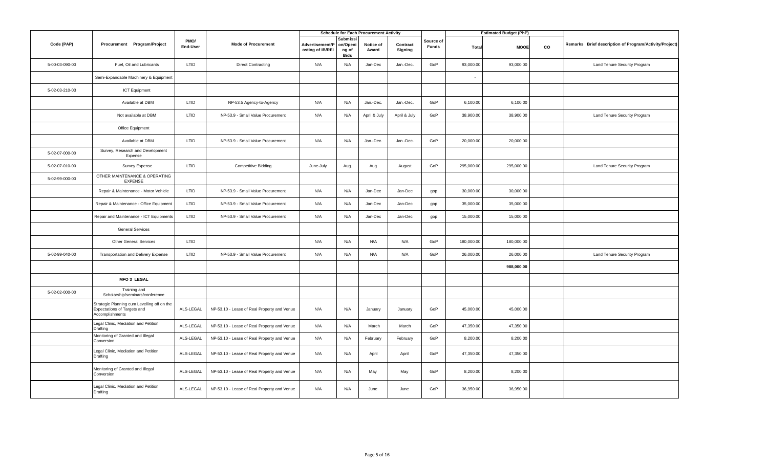|                |                                                                                               |                  |                                             |                                     |                                              | <b>Schedule for Each Procurement Activity</b> |                     |                           |            | <b>Estimated Budget (PhP)</b> |    |                                                        |
|----------------|-----------------------------------------------------------------------------------------------|------------------|---------------------------------------------|-------------------------------------|----------------------------------------------|-----------------------------------------------|---------------------|---------------------------|------------|-------------------------------|----|--------------------------------------------------------|
| Code (PAP)     | Procurement Program/Project                                                                   | PMO/<br>End-User | <b>Mode of Procurement</b>                  | Advertisement/P<br>osting of IB/REI | Submissi<br>on/Openi<br>ng of<br><b>Bids</b> | Notice of<br>Award                            | Contract<br>Signing | Source of<br><b>Funds</b> | Total      | <b>MOOE</b>                   | CO | Remarks Brief description of Program/Activity/Project) |
| 5-00-03-090-00 | Fuel. Oil and Lubricants                                                                      | LTID             | <b>Direct Contracting</b>                   | N/A                                 | N/A                                          | Jan-Dec                                       | Jan.-Dec.           | GoP                       | 93,000.00  | 93,000.00                     |    | Land Tenure Security Program                           |
|                | Semi-Expandable Machinery & Equipment                                                         |                  |                                             |                                     |                                              |                                               |                     |                           | ÷.         |                               |    |                                                        |
| 5-02-03-210-03 | <b>ICT Equipment</b>                                                                          |                  |                                             |                                     |                                              |                                               |                     |                           |            |                               |    |                                                        |
|                | Available at DBM                                                                              | LTID             | NP-53.5 Agency-to-Agency                    | N/A                                 | N/A                                          | Jan.-Dec.                                     | Jan.-Dec.           | GoP                       | 6,100.00   | 6,100.00                      |    |                                                        |
|                | Not available at DBM                                                                          | LTID             | NP-53.9 - Small Value Procurement           | N/A                                 | N/A                                          | April & July                                  | April & July        | GoP                       | 38,900.00  | 38,900.00                     |    | Land Tenure Security Program                           |
|                | Office Equipment                                                                              |                  |                                             |                                     |                                              |                                               |                     |                           |            |                               |    |                                                        |
|                | Available at DBM                                                                              | LTID             | NP-53.9 - Small Value Procurement           | N/A                                 | N/A                                          | Jan.-Dec.                                     | Jan.-Dec.           | GoP                       | 20,000.00  | 20,000.00                     |    |                                                        |
| 5-02-07-000-00 | Survey, Research and Development<br>Expense                                                   |                  |                                             |                                     |                                              |                                               |                     |                           |            |                               |    |                                                        |
| 5-02-07-010-00 | Survey Expense                                                                                | LTID             | <b>Competitive Bidding</b>                  | June-July                           | Aug.                                         | Aug                                           | August              | GoP                       | 295,000.00 | 295,000.00                    |    | Land Tenure Security Program                           |
| 5-02-99-000-00 | OTHER MAINTENANCE & OPERATING<br><b>EXPENSE</b>                                               |                  |                                             |                                     |                                              |                                               |                     |                           |            |                               |    |                                                        |
|                | Repair & Maintenance - Motor Vehicle                                                          | LTID             | NP-53.9 - Small Value Procurement           | N/A                                 | N/A                                          | Jan-Dec                                       | Jan-Dec             | gop                       | 30,000.00  | 30,000.00                     |    |                                                        |
|                | Repair & Maintenance - Office Equipment                                                       | LTID             | NP-53.9 - Small Value Procurement           | N/A                                 | N/A                                          | Jan-Dec                                       | Jan-Dec             | gop                       | 35,000.00  | 35,000.00                     |    |                                                        |
|                | Repair and Maintenance - ICT Equipments                                                       | LTID             | NP-53.9 - Small Value Procurement           | N/A                                 | N/A                                          | Jan-Dec                                       | Jan-Dec             | gop                       | 15,000.00  | 15,000.00                     |    |                                                        |
|                | <b>General Services</b>                                                                       |                  |                                             |                                     |                                              |                                               |                     |                           |            |                               |    |                                                        |
|                | <b>Other General Services</b>                                                                 | LTID             |                                             | N/A                                 | N/A                                          | N/A                                           | N/A                 | GoP                       | 180,000.00 | 180,000.00                    |    |                                                        |
| 5-02-99-040-00 | Transportation and Delivery Expense                                                           | LTID             | NP-53.9 - Small Value Procurement           | N/A                                 | N/A                                          | N/A                                           | N/A                 | GoP                       | 26,000.00  | 26,000.00                     |    | Land Tenure Security Program                           |
|                |                                                                                               |                  |                                             |                                     |                                              |                                               |                     |                           |            | 988,000.00                    |    |                                                        |
|                | <b>MFO 3 LEGAL</b>                                                                            |                  |                                             |                                     |                                              |                                               |                     |                           |            |                               |    |                                                        |
| 5-02-02-000-00 | Training and<br>Scholarship/seminars/conference                                               |                  |                                             |                                     |                                              |                                               |                     |                           |            |                               |    |                                                        |
|                | Strategic Planning cum Levelling off on the<br>Expectations of Targets and<br>Accomplishments | ALS-LEGAL        | NP-53.10 - Lease of Real Property and Venue | N/A                                 | N/A                                          | January                                       | January             | GoP                       | 45,000.00  | 45,000.00                     |    |                                                        |
|                | Legal Clinic, Mediation and Petition<br>Drafting                                              | ALS-LEGAL        | NP-53.10 - Lease of Real Property and Venue | N/A                                 | N/A                                          | March                                         | March               | GoP                       | 47,350.00  | 47,350.00                     |    |                                                        |
|                | Monitoring of Granted and Illegal<br>Conversion                                               | ALS-LEGAL        | NP-53.10 - Lease of Real Property and Venue | N/A                                 | N/A                                          | February                                      | February            | GoP                       | 8,200.00   | 8,200.00                      |    |                                                        |
|                | Legal Clinic, Mediation and Petition<br>Drafting                                              | ALS-LEGAL        | NP-53.10 - Lease of Real Property and Venue | N/A                                 | N/A                                          | April                                         | April               | GoP                       | 47,350.00  | 47,350.00                     |    |                                                        |
|                | Monitoring of Granted and Illegal<br>Conversion                                               | ALS-LEGAL        | NP-53.10 - Lease of Real Property and Venue | N/A                                 | N/A                                          | May                                           | May                 | GoP                       | 8,200.00   | 8,200.00                      |    |                                                        |
|                | Legal Clinic, Mediation and Petition<br>Drafting                                              | ALS-LEGAL        | NP-53.10 - Lease of Real Property and Venue | N/A                                 | N/A                                          | June                                          | June                | GoP                       | 36,950.00  | 36,950.00                     |    |                                                        |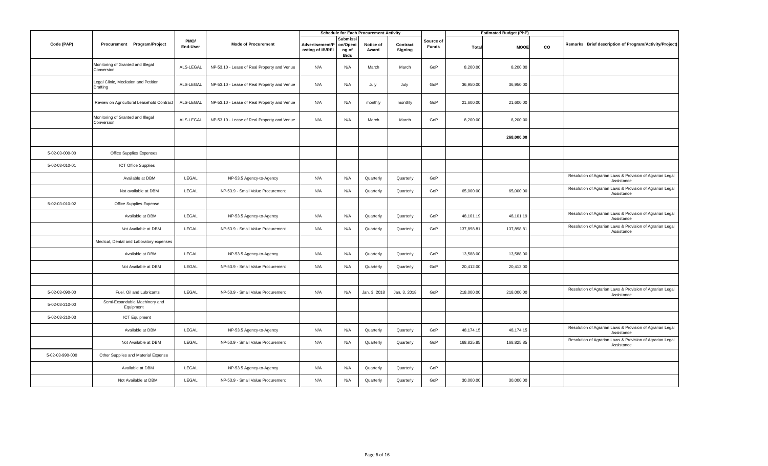|                 |                                                  |                  |                                             |                                     |                                                    | <b>Schedule for Each Procurement Activity</b> |                     |                           |            | <b>Estimated Budget (PhP)</b> |    |                                                                         |
|-----------------|--------------------------------------------------|------------------|---------------------------------------------|-------------------------------------|----------------------------------------------------|-----------------------------------------------|---------------------|---------------------------|------------|-------------------------------|----|-------------------------------------------------------------------------|
| Code (PAP)      | Procurement Program/Project                      | PMO/<br>End-User | <b>Mode of Procurement</b>                  | Advertisement/P<br>osting of IB/REI | <b>Submiss</b><br>on/Openi<br>ng of<br><b>Bids</b> | Notice of<br>Award                            | Contract<br>Signing | Source of<br><b>Funds</b> | Total      | <b>MOOE</b>                   | CO | Remarks Brief description of Program/Activity/Project)                  |
|                 | Monitoring of Granted and Illegal<br>Conversion  | ALS-LEGAL        | NP-53.10 - Lease of Real Property and Venue | N/A                                 | N/A                                                | March                                         | March               | GoP                       | 8,200.00   | 8,200.00                      |    |                                                                         |
|                 | Legal Clinic, Mediation and Petition<br>Drafting | ALS-LEGAL        | NP-53.10 - Lease of Real Property and Venue | N/A                                 | N/A                                                | July                                          | July                | GoP                       | 36,950.00  | 36,950.00                     |    |                                                                         |
|                 | Review on Agricultural Leasehold Contract        | ALS-LEGAL        | NP-53.10 - Lease of Real Property and Venue | N/A                                 | N/A                                                | monthly                                       | monthly             | GoP                       | 21,600.00  | 21,600.00                     |    |                                                                         |
|                 | Monitoring of Granted and Illegal<br>Conversion  | ALS-LEGAL        | NP-53.10 - Lease of Real Property and Venue | N/A                                 | N/A                                                | March                                         | March               | GoP                       | 8,200.00   | 8,200.00                      |    |                                                                         |
|                 |                                                  |                  |                                             |                                     |                                                    |                                               |                     |                           |            | 268,000.00                    |    |                                                                         |
| 5-02-03-000-00  | Office Supplies Expenses                         |                  |                                             |                                     |                                                    |                                               |                     |                           |            |                               |    |                                                                         |
| 5-02-03-010-01  | <b>ICT Office Supplies</b>                       |                  |                                             |                                     |                                                    |                                               |                     |                           |            |                               |    |                                                                         |
|                 | Available at DBM                                 | LEGAL            | NP-53.5 Agency-to-Agency                    | N/A                                 | N/A                                                | Quarterly                                     | Quarterly           | GoP                       |            |                               |    | Resolution of Agrarian Laws & Provision of Agrarian Legal<br>Assistance |
|                 | Not available at DBM                             | LEGAL            | NP-53.9 - Small Value Procurement           | N/A                                 | N/A                                                | Quarterly                                     | Quarterly           | GoP                       | 65,000.00  | 65,000.00                     |    | Resolution of Agrarian Laws & Provision of Agrarian Legal<br>Assistance |
| 5-02-03-010-02  | Office Supplies Expense                          |                  |                                             |                                     |                                                    |                                               |                     |                           |            |                               |    |                                                                         |
|                 | Available at DBM                                 | LEGAL            | NP-53.5 Agency-to-Agency                    | N/A                                 | N/A                                                | Quarterly                                     | Quarterly           | GoP                       | 48,101.19  | 48,101.19                     |    | Resolution of Agrarian Laws & Provision of Agrarian Legal<br>Assistance |
|                 | Not Available at DBM                             | LEGAL            | NP-53.9 - Small Value Procurement           | N/A                                 | N/A                                                | Quarterly                                     | Quarterly           | GoP                       | 137,898.81 | 137,898.81                    |    | Resolution of Agrarian Laws & Provision of Agrarian Legal<br>Assistance |
|                 | Medical, Dental and Laboratory expenses          |                  |                                             |                                     |                                                    |                                               |                     |                           |            |                               |    |                                                                         |
|                 | Available at DBM                                 | LEGAL            | NP-53.5 Agency-to-Agency                    | N/A                                 | N/A                                                | Quarterly                                     | Quarterly           | GoP                       | 13,588.00  | 13,588.00                     |    |                                                                         |
|                 | Not Available at DBM                             | LEGAL            | NP-53.9 - Small Value Procurement           | N/A                                 | N/A                                                | Quarterly                                     | Quarterly           | GoP                       | 20,412.00  | 20,412.00                     |    |                                                                         |
|                 |                                                  |                  |                                             |                                     |                                                    |                                               |                     |                           |            |                               |    |                                                                         |
| 5-02-03-090-00  | Fuel, Oil and Lubricants                         | LEGAL            | NP-53.9 - Small Value Procurement           | N/A                                 | N/A                                                | Jan. 3, 2018                                  | Jan. 3, 2018        | GoP                       | 218,000.00 | 218,000.00                    |    | Resolution of Agrarian Laws & Provision of Agrarian Legal<br>Assistance |
| 5-02-03-210-00  | Semi-Expandable Machinery and<br>Equipment       |                  |                                             |                                     |                                                    |                                               |                     |                           |            |                               |    |                                                                         |
| 5-02-03-210-03  | <b>ICT Equipment</b>                             |                  |                                             |                                     |                                                    |                                               |                     |                           |            |                               |    |                                                                         |
|                 | Available at DBM                                 | LEGAL            | NP-53.5 Agency-to-Agency                    | N/A                                 | N/A                                                | Quarterly                                     | Quarterly           | GoP                       | 48,174.15  | 48,174.15                     |    | Resolution of Agrarian Laws & Provision of Agrarian Legal<br>Assistance |
|                 | Not Available at DBM                             | LEGAL            | NP-53.9 - Small Value Procurement           | N/A                                 | N/A                                                | Quarterly                                     | Quarterly           | GoP                       | 168,825.85 | 168,825.85                    |    | Resolution of Agrarian Laws & Provision of Agrarian Legal<br>Assistance |
| 5-02-03-990-000 | Other Supplies and Material Expense              |                  |                                             |                                     |                                                    |                                               |                     |                           |            |                               |    |                                                                         |
|                 | Available at DBM                                 | LEGAL            | NP-53.5 Agency-to-Agency                    | N/A                                 | N/A                                                | Quarterly                                     | Quarterly           | GoP                       |            |                               |    |                                                                         |
|                 | Not Available at DBM                             | LEGAL            | NP-53.9 - Small Value Procurement           | N/A                                 | N/A                                                | Quarterly                                     | Quarterly           | GoP                       | 30,000.00  | 30,000.00                     |    |                                                                         |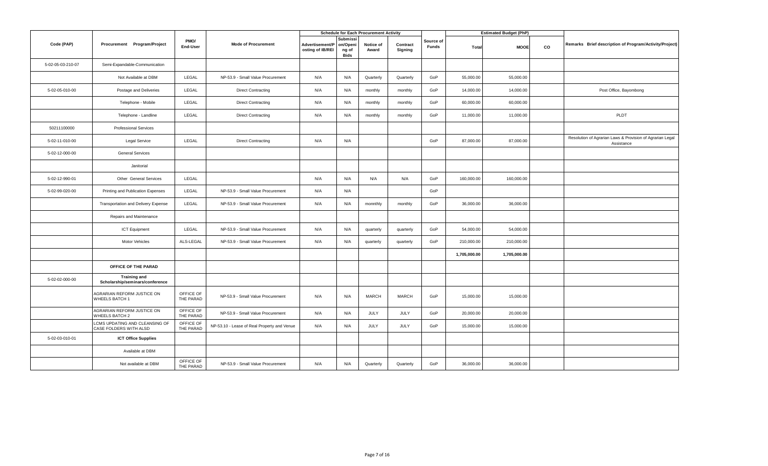|                   |                                                          |                        |                                             |                                     |                                              | <b>Schedule for Each Procurement Activity</b> |                     |                           |              | <b>Estimated Budget (PhP)</b> |    |                                                                         |
|-------------------|----------------------------------------------------------|------------------------|---------------------------------------------|-------------------------------------|----------------------------------------------|-----------------------------------------------|---------------------|---------------------------|--------------|-------------------------------|----|-------------------------------------------------------------------------|
| Code (PAP)        | Procurement Program/Project                              | PMO/<br>End-User       | <b>Mode of Procurement</b>                  | Advertisement/P<br>osting of IB/REI | Submissi<br>on/Openi<br>ng of<br><b>Bids</b> | Notice of<br>Award                            | Contract<br>Signing | Source of<br><b>Funds</b> | Total        | <b>MOOE</b>                   | co | Remarks Brief description of Program/Activity/Project)                  |
| 5-02-05-03-210-07 | Semi-Expandable-Communication                            |                        |                                             |                                     |                                              |                                               |                     |                           |              |                               |    |                                                                         |
|                   | Not Available at DBM                                     | LEGAL                  | NP-53.9 - Small Value Procurement           | N/A                                 | N/A                                          | Quarterly                                     | Quarterly           | GoP                       | 55,000.00    | 55,000.00                     |    |                                                                         |
| 5-02-05-010-00    | Postage and Deliveries                                   | LEGAL                  | <b>Direct Contracting</b>                   | N/A                                 | N/A                                          | monthly                                       | monthly             | GoP                       | 14,000.00    | 14,000.00                     |    | Post Office, Bayombong                                                  |
|                   | Telephone - Mobile                                       | LEGAL                  | <b>Direct Contracting</b>                   | N/A                                 | N/A                                          | monthly                                       | monthly             | GoP                       | 60,000.00    | 60,000.00                     |    |                                                                         |
|                   | Telephone - Landline                                     | LEGAL                  | <b>Direct Contracting</b>                   | N/A                                 | N/A                                          | monthly                                       | monthly             | GoP                       | 11,000.00    | 11,000.00                     |    | PLDT                                                                    |
| 50211100000       | <b>Professional Services</b>                             |                        |                                             |                                     |                                              |                                               |                     |                           |              |                               |    |                                                                         |
| 5-02-11-010-00    | <b>Legal Service</b>                                     | LEGAL                  | <b>Direct Contracting</b>                   | N/A                                 | N/A                                          |                                               |                     | GoP                       | 87,000.00    | 87,000.00                     |    | Resolution of Agrarian Laws & Provision of Agrarian Legal<br>Assistance |
| 5-02-12-000-00    | <b>General Services</b>                                  |                        |                                             |                                     |                                              |                                               |                     |                           |              |                               |    |                                                                         |
|                   | Janitorial                                               |                        |                                             |                                     |                                              |                                               |                     |                           |              |                               |    |                                                                         |
| 5-02-12-990-01    | Other General Services                                   | LEGAL                  |                                             | N/A                                 | N/A                                          | N/A                                           | N/A                 | GoP                       | 160,000.00   | 160,000.00                    |    |                                                                         |
| 5-02-99-020-00    | Printing and Publication Expenses                        | LEGAL                  | NP-53.9 - Small Value Procurement           | N/A                                 | N/A                                          |                                               |                     | GoP                       |              |                               |    |                                                                         |
|                   | Transportation and Delivery Expense                      | LEGAL                  | NP-53.9 - Small Value Procurement           | N/A                                 | N/A                                          | monnthly                                      | monthly             | GoP                       | 36,000.00    | 36,000.00                     |    |                                                                         |
|                   | Repairs and Maintenance                                  |                        |                                             |                                     |                                              |                                               |                     |                           |              |                               |    |                                                                         |
|                   | <b>ICT Equipment</b>                                     | LEGAL                  | NP-53.9 - Small Value Procurement           | N/A                                 | N/A                                          | quarterly                                     | quarterly           | GoP                       | 54,000.00    | 54,000.00                     |    |                                                                         |
|                   | Motor Vehicles                                           | ALS-LEGAL              | NP-53.9 - Small Value Procurement           | N/A                                 | N/A                                          | quarterly                                     | quarterly           | GoP                       | 210,000.00   | 210,000.00                    |    |                                                                         |
|                   |                                                          |                        |                                             |                                     |                                              |                                               |                     |                           | 1,705,000.00 | 1,705,000.00                  |    |                                                                         |
|                   | OFFICE OF THE PARAD                                      |                        |                                             |                                     |                                              |                                               |                     |                           |              |                               |    |                                                                         |
| 5-02-02-000-00    | <b>Training and</b><br>Scholarship/seminars/conference   |                        |                                             |                                     |                                              |                                               |                     |                           |              |                               |    |                                                                         |
|                   | AGRARIAN REFORM JUSTICE ON<br>WHEELS BATCH 1             | OFFICE OF<br>THE PARAD | NP-53.9 - Small Value Procurement           | N/A                                 | N/A                                          | MARCH                                         | <b>MARCH</b>        | GoP                       | 15,000.00    | 15,000.00                     |    |                                                                         |
|                   | AGRARIAN REFORM JUSTICE ON<br>WHEELS BATCH 2             | OFFICE OF<br>THE PARAD | NP-53.9 - Small Value Procurement           | N/A                                 | N/A                                          | <b>JULY</b>                                   | JULY                | GoP                       | 20,000.00    | 20,000.00                     |    |                                                                         |
|                   | LCMS UPDATING AND CLEANSING OF<br>CASE FOLDERS WITH ALSD | OFFICE OF<br>THE PARAD | NP-53.10 - Lease of Real Property and Venue | N/A                                 | N/A                                          | JULY                                          | <b>JULY</b>         | GoP                       | 15,000.00    | 15,000.00                     |    |                                                                         |
| 5-02-03-010-01    | <b>ICT Office Supplies</b>                               |                        |                                             |                                     |                                              |                                               |                     |                           |              |                               |    |                                                                         |
|                   | Available at DBM                                         |                        |                                             |                                     |                                              |                                               |                     |                           |              |                               |    |                                                                         |
|                   | Not available at DBM                                     | OFFICE OF<br>THE PARAD | NP-53.9 - Small Value Procurement           | N/A                                 | N/A                                          | Quarterly                                     | Quarterly           | GoP                       | 36,000.00    | 36,000.00                     |    |                                                                         |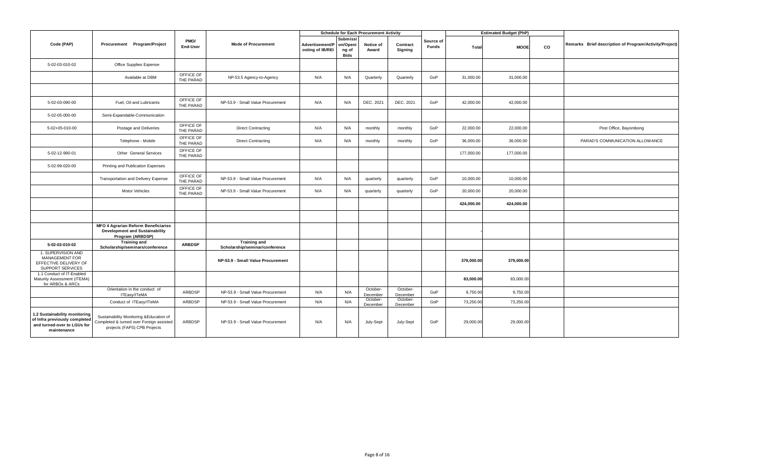|                                                                                                              |                                                                                                                      |                        |                                                       |                                     |                                              | <b>Schedule for Each Procurement Activity</b> |                      |                    |            | <b>Estimated Budget (PhP)</b> |    |                                                        |
|--------------------------------------------------------------------------------------------------------------|----------------------------------------------------------------------------------------------------------------------|------------------------|-------------------------------------------------------|-------------------------------------|----------------------------------------------|-----------------------------------------------|----------------------|--------------------|------------|-------------------------------|----|--------------------------------------------------------|
| Code (PAP)                                                                                                   | Procurement Program/Project                                                                                          | PMO/<br>End-User       | <b>Mode of Procurement</b>                            | Advertisement/P<br>osting of IB/REI | Submissi<br>on/Openi<br>ng of<br><b>Bids</b> | Notice of<br>Award                            | Contract<br>Signing  | Source of<br>Funds | Total      | <b>MOOE</b>                   | co | Remarks Brief description of Program/Activity/Project) |
| 5-02-03-010-02                                                                                               | Office Supplies Expense                                                                                              |                        |                                                       |                                     |                                              |                                               |                      |                    |            |                               |    |                                                        |
|                                                                                                              | Available at DBM                                                                                                     | OFFICE OF<br>THE PARAD | NP-53.5 Agency-to-Agency                              | N/A                                 | N/A                                          | Quarterly                                     | Quarterly            | GoP                | 31,000.00  | 31,000.00                     |    |                                                        |
|                                                                                                              |                                                                                                                      |                        |                                                       |                                     |                                              |                                               |                      |                    |            |                               |    |                                                        |
| 5-02-03-090-00                                                                                               | Fuel, Oil and Lubricants                                                                                             | OFFICE OF<br>THE PARAD | NP-53.9 - Small Value Procurement                     | N/A                                 | N/A                                          | DEC. 2021                                     | DEC. 2021            | GoP                | 42,000.00  | 42,000.00                     |    |                                                        |
| 5-02-05-000-00                                                                                               | Semi-Expandable-Communication                                                                                        |                        |                                                       |                                     |                                              |                                               |                      |                    |            |                               |    |                                                        |
| 5-02+05-010-00                                                                                               | Postage and Deliveries                                                                                               | OFFICE OF<br>THE PARAD | <b>Direct Contracting</b>                             | N/A                                 | N/A                                          | monthly                                       | monthly              | GoP                | 22,000.00  | 22,000.00                     |    | Post Office, Bayombong                                 |
|                                                                                                              | Telephone - Mobile                                                                                                   | OFFICE OF<br>THE PARAD | <b>Direct Contracting</b>                             | N/A                                 | N/A                                          | monthly                                       | monthly              | GoP                | 36,000.00  | 36,000.00                     |    | PARAD'S COMMUNICATION ALLOWANCE                        |
| 5-02-12-990-01                                                                                               | Other General Services                                                                                               | OFFICE OF<br>THE PARAD |                                                       |                                     |                                              |                                               |                      |                    | 177,000.00 | 177,000.00                    |    |                                                        |
| 5-02-99-020-00                                                                                               | Printing and Publication Expenses                                                                                    |                        |                                                       |                                     |                                              |                                               |                      |                    |            |                               |    |                                                        |
|                                                                                                              | Transportation and Delivery Expense                                                                                  | OFFICE OF<br>THE PARAD | NP-53.9 - Small Value Procurement                     | N/A                                 | N/A                                          | quarterly                                     | quarterly            | GoP                | 10,000.00  | 10,000.00                     |    |                                                        |
|                                                                                                              | <b>Motor Vehicles</b>                                                                                                | OFFICE OF<br>THE PARAD | NP-53.9 - Small Value Procurement                     | N/A                                 | N/A                                          | quarterly                                     | quarterly            | GoP                | 20,000.00  | 20,000.00                     |    |                                                        |
|                                                                                                              |                                                                                                                      |                        |                                                       |                                     |                                              |                                               |                      |                    | 424,000.00 | 424,000.00                    |    |                                                        |
|                                                                                                              |                                                                                                                      |                        |                                                       |                                     |                                              |                                               |                      |                    |            |                               |    |                                                        |
|                                                                                                              | <b>MFO 4 Agrarian Reform Beneficiaries</b><br><b>Development and Sustainability</b><br>Program (ARBDSP)              |                        |                                                       |                                     |                                              |                                               |                      |                    |            |                               |    |                                                        |
| 5-02-02-010-02                                                                                               | <b>Training and</b><br>Scholarship/seminars/conference                                                               | <b>ARBDSP</b>          | <b>Training and</b><br>Scholarship/seminar/conference |                                     |                                              |                                               |                      |                    |            |                               |    |                                                        |
| 1. SUPERVISION AND<br>MANAGEMENT FOR<br>EFFECTIVE DELIVERY OF<br>SUPPORT SERVICES                            |                                                                                                                      |                        | NP-53.9 - Small Value Procurement                     |                                     |                                              |                                               |                      |                    | 379,000.00 | 379,000.00                    |    |                                                        |
| 1.1 Conduct of IT-Enabled<br>Maturity Assessment (ITEMA)<br>for ARBOs & ARCs                                 |                                                                                                                      |                        |                                                       |                                     |                                              |                                               |                      |                    | 83,000.00  | 83,000.00                     |    |                                                        |
|                                                                                                              | Orientation in the conduct of<br>ITEasy/ITeMA                                                                        | ARBDSP                 | NP-53.9 - Small Value Procurement                     | N/A                                 | N/A                                          | October-<br>December                          | October-<br>December | GoP                | 9,750.00   | 9,750.00                      |    |                                                        |
|                                                                                                              | Conduct of ITEasy/ITeMA                                                                                              | ARBDSP                 | NP-53.9 - Small Value Procurement                     | N/A                                 | N/A                                          | October-<br>December                          | October-<br>December | GoP                | 73,250.00  | 73,250.00                     |    |                                                        |
| 1.2 Sustainability monitoring<br>of Infra previously completed<br>and turned-over to LGUs for<br>maintenance | Sustainability Monitoring & Education of<br>Completed & turned over Foreign assisted<br>projects (FAPS) CPB Projects | ARBDSP                 | NP-53.9 - Small Value Procurement                     | N/A                                 | N/A                                          | July-Sept                                     | July-Sept            | GoP                | 29,000.00  | 29,000.00                     |    |                                                        |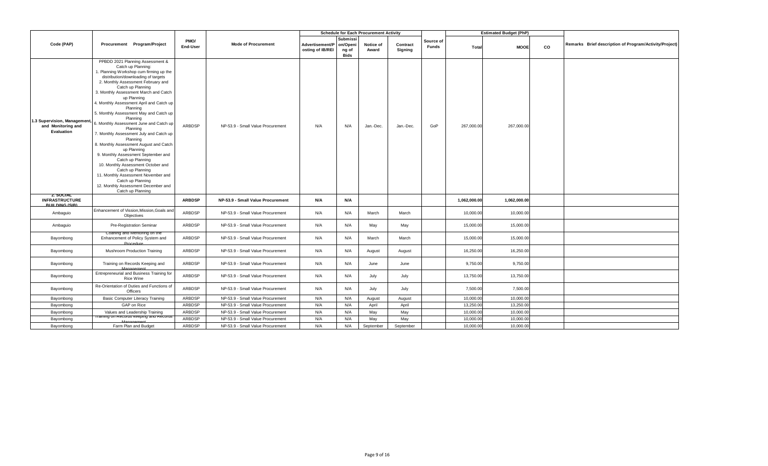|                                                                      |                                                                                                                                                                                                                                                                                                                                                                                                                                                                                                                                                                                                                                                                                                                                                                                                |                  |                                   |                                     |                                              | <b>Schedule for Each Procurement Activity</b> |                     |                    |              | <b>Estimated Budget (PhP)</b> |    |                                                        |
|----------------------------------------------------------------------|------------------------------------------------------------------------------------------------------------------------------------------------------------------------------------------------------------------------------------------------------------------------------------------------------------------------------------------------------------------------------------------------------------------------------------------------------------------------------------------------------------------------------------------------------------------------------------------------------------------------------------------------------------------------------------------------------------------------------------------------------------------------------------------------|------------------|-----------------------------------|-------------------------------------|----------------------------------------------|-----------------------------------------------|---------------------|--------------------|--------------|-------------------------------|----|--------------------------------------------------------|
| Code (PAP)                                                           | Procurement Program/Project                                                                                                                                                                                                                                                                                                                                                                                                                                                                                                                                                                                                                                                                                                                                                                    | PMO/<br>End-User | <b>Mode of Procurement</b>        | Advertisement/P<br>osting of IB/REI | Submissi<br>on/Openi<br>ng of<br><b>Bids</b> | Notice of<br>Award                            | Contract<br>Signing | Source of<br>Funds | Total        | <b>MOOE</b>                   | co | Remarks Brief description of Program/Activity/Project) |
| 1.3 Supervision, Management<br>and Monitoring and<br>Evaluation      | PPBDD 2021 Planning Assessment &<br>Catch up Planning:<br>. Planning Workshop cum firming up the<br>distribution/downloading of targets<br>2. Monthly Assessment February and<br>Catch up Planning<br>3. Monthly Assessment March and Catch<br>up Planning<br>4. Monthly Assessment April and Catch up<br>Planning<br>5. Monthly Assessment May and Catch up<br>Planning<br>6. Monthly Assessment June and Catch up<br>Planning<br>7. Monthly Assessment July and Catch up<br>Planning<br>8. Monthly Assessment August and Catch<br>up Planning<br>9. Monthly Assessment September and<br>Catch up Planning<br>10. Monthly Assessment October and<br>Catch up Planning<br>11. Monthly Assessment November and<br>Catch up Planning<br>12. Monthly Assessment December and<br>Catch up Planning | ARBDSP           | NP-53.9 - Small Value Procurement | N/A                                 | N/A                                          | Jan.-Dec.                                     | Jan.-Dec.           | GoP                | 267,000.00   | 267,000.00                    |    |                                                        |
| <b>2. SOCIAL</b><br><b>INFRASTRUCTURE</b><br><b>RIIII DING (SIR)</b> |                                                                                                                                                                                                                                                                                                                                                                                                                                                                                                                                                                                                                                                                                                                                                                                                | <b>ARBDSP</b>    | NP-53.9 - Small Value Procurement | N/A                                 | N/A                                          |                                               |                     |                    | 1,062,000.00 | 1,062,000.00                  |    |                                                        |
| Ambaguio                                                             | Enhancement of Vission, Mission, Goals and<br>Objectives                                                                                                                                                                                                                                                                                                                                                                                                                                                                                                                                                                                                                                                                                                                                       | ARBDSP           | NP-53.9 - Small Value Procurement | N/A                                 | N/A                                          | March                                         | March               |                    | 10,000.00    | 10,000.00                     |    |                                                        |
| Ambaguio                                                             | Pre-Registration Seminar                                                                                                                                                                                                                                                                                                                                                                                                                                                                                                                                                                                                                                                                                                                                                                       | ARBDSP           | NP-53.9 - Small Value Procurement | N/A                                 | N/A                                          | May                                           | May                 |                    | 15,000.00    | 15,000.00                     |    |                                                        |
| Bayombong                                                            | Coahing and Mentoring on the<br>Enhancement of Policy System and<br>Procedure                                                                                                                                                                                                                                                                                                                                                                                                                                                                                                                                                                                                                                                                                                                  | ARBDSP           | NP-53.9 - Small Value Procurement | N/A                                 | N/A                                          | March                                         | March               |                    | 15,000.00    | 15,000.00                     |    |                                                        |
| Bayombong                                                            | Mushroom Production Training                                                                                                                                                                                                                                                                                                                                                                                                                                                                                                                                                                                                                                                                                                                                                                   | ARBDSP           | NP-53.9 - Small Value Procurement | N/A                                 | N/A                                          | August                                        | August              |                    | 16,250.00    | 16,250.00                     |    |                                                        |
| Bayombong                                                            | Training on Records Keeping and                                                                                                                                                                                                                                                                                                                                                                                                                                                                                                                                                                                                                                                                                                                                                                | ARBDSP           | NP-53.9 - Small Value Procurement | N/A                                 | N/A                                          | June                                          | June                |                    | 9,750.00     | 9,750.00                      |    |                                                        |
| Bayombong                                                            | Entrepreneurial and Business Training for<br>Rice Wine                                                                                                                                                                                                                                                                                                                                                                                                                                                                                                                                                                                                                                                                                                                                         | ARBDSP           | NP-53.9 - Small Value Procurement | N/A                                 | N/A                                          | July                                          | July                |                    | 13,750.00    | 13,750.00                     |    |                                                        |
| Bayombong                                                            | Re-Orientation of Duties and Functions of<br>Officers                                                                                                                                                                                                                                                                                                                                                                                                                                                                                                                                                                                                                                                                                                                                          | ARBDSP           | NP-53.9 - Small Value Procurement | N/A                                 | N/A                                          | July                                          | July                |                    | 7,500.00     | 7,500.00                      |    |                                                        |
| Bayombong                                                            | <b>Basic Computer Literacy Training</b>                                                                                                                                                                                                                                                                                                                                                                                                                                                                                                                                                                                                                                                                                                                                                        | ARBDSP           | NP-53.9 - Small Value Procurement | N/A                                 | N/A                                          | August                                        | August              |                    | 10,000.00    | 10,000.00                     |    |                                                        |
| Bayombong                                                            | GAP on Rice                                                                                                                                                                                                                                                                                                                                                                                                                                                                                                                                                                                                                                                                                                                                                                                    | ARBDSP           | NP-53.9 - Small Value Procurement | N/A                                 | N/A                                          | April                                         | April               |                    | 13,250.00    | 13,250.00                     |    |                                                        |
| Bayombong                                                            | Values and Leadership Training                                                                                                                                                                                                                                                                                                                                                                                                                                                                                                                                                                                                                                                                                                                                                                 | ARBDSP           | NP-53.9 - Small Value Procurement | N/A                                 | N/A                                          | May                                           | May                 |                    | 10,000.00    | 10,000.00                     |    |                                                        |
| Bayombong                                                            | I raining on Records keeping and Records                                                                                                                                                                                                                                                                                                                                                                                                                                                                                                                                                                                                                                                                                                                                                       | ARBDSP           | NP-53.9 - Small Value Procurement | N/A                                 | N/A                                          | May                                           | May                 |                    | 10,000.00    | 10,000.00                     |    |                                                        |
| Bayombong                                                            | Farm Plan and Budget                                                                                                                                                                                                                                                                                                                                                                                                                                                                                                                                                                                                                                                                                                                                                                           | ARBDSP           | NP-53.9 - Small Value Procurement | N/A                                 | N/A                                          | September                                     | September           |                    | 10,000.00    | 10,000.00                     |    |                                                        |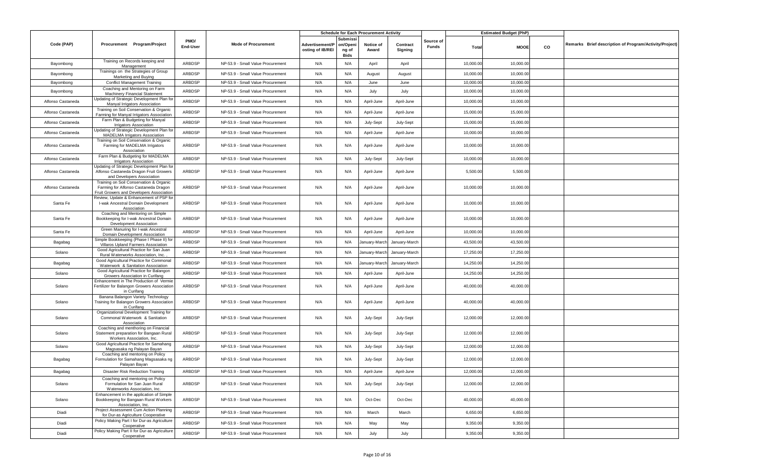|                   |                                                                                                                             |                  |                                   |                                     |                                       | <b>Schedule for Each Procurement Activity</b> |                     |                    |           | <b>Estimated Budget (PhP)</b> |    |                                                        |
|-------------------|-----------------------------------------------------------------------------------------------------------------------------|------------------|-----------------------------------|-------------------------------------|---------------------------------------|-----------------------------------------------|---------------------|--------------------|-----------|-------------------------------|----|--------------------------------------------------------|
| Code (PAP)        | Procurement Program/Project                                                                                                 | PMO/<br>End-User | <b>Mode of Procurement</b>        | Advertisement/P<br>osting of IB/REI | Submissi<br>on/Openi<br>ng of<br>Bids | Notice of<br>Award                            | Contract<br>Signing | Source of<br>Funds | Total     | <b>MOOE</b>                   | CO | Remarks Brief description of Program/Activity/Project) |
| Bayombong         | Training on Records keeping and<br>Management                                                                               | ARBDSP           | NP-53.9 - Small Value Procurement | N/A                                 | N/A                                   | April                                         | April               |                    | 10,000.00 | 10,000.00                     |    |                                                        |
| Bayombong         | Trainings on the Strategies of Group<br>Marketing and Buying                                                                | ARBDSP           | NP-53.9 - Small Value Procurement | N/A                                 | N/A                                   | August                                        | August              |                    | 10,000.00 | 10,000.00                     |    |                                                        |
| Bayombong         | <b>Conflict Management Training</b>                                                                                         | ARBDSP           | NP-53.9 - Small Value Procurement | N/A                                 | N/A                                   | June                                          | June                |                    | 10,000.00 | 10,000.00                     |    |                                                        |
| Bayombong         | Coaching and Mentoring on Farm<br><b>Machinery Financial Statement</b>                                                      | ARBDSP           | NP-53.9 - Small Value Procurement | N/A                                 | N/A                                   | July                                          | July                |                    | 10,000.00 | 10,000.00                     |    |                                                        |
| Alfonso Castaneda | Updating of Strategic Development Plan for<br>Manyal Irrigators Association                                                 | ARBDSP           | NP-53.9 - Small Value Procurement | N/A                                 | N/A                                   | April-June                                    | April-June          |                    | 10,000.00 | 10,000.00                     |    |                                                        |
| Alfonso Castaneda | Training on Soil Conservation & Organic<br>Farming for Manyal Irrigators Association                                        | ARBDSP           | NP-53.9 - Small Value Procurement | N/A                                 | N/A                                   | April-June                                    | April-June          |                    | 15,000.00 | 15,000.00                     |    |                                                        |
| Alfonso Castaneda | Farm Plan & Budgeting for Manyal<br><b>Irrigators Association</b>                                                           | ARBDSP           | NP-53.9 - Small Value Procurement | N/A                                 | N/A                                   | July-Sept                                     | July-Sept           |                    | 15,000.00 | 15,000.00                     |    |                                                        |
| Alfonso Castaneda | Updating of Strategic Development Plan for<br><b>MADELMA Irrigators Association</b>                                         | ARBDSP           | NP-53.9 - Small Value Procurement | N/A                                 | N/A                                   | April-June                                    | April-June          |                    | 10,000.00 | 10,000.00                     |    |                                                        |
| Alfonso Castaneda | Training on Soil Conservation & Organic<br>Farming for MADELMA Irrigators<br>Association                                    | ARBDSP           | NP-53.9 - Small Value Procurement | N/A                                 | N/A                                   | April-June                                    | April-June          |                    | 10,000.00 | 10,000.00                     |    |                                                        |
| Alfonso Castaneda | Farm Plan & Budgeting for MADELMA<br><b>Irrigators Association</b>                                                          | ARBDSP           | NP-53.9 - Small Value Procurement | N/A                                 | N/A                                   | July-Sept                                     | July-Sept           |                    | 10,000.00 | 10,000.00                     |    |                                                        |
| Alfonso Castaneda | Updating of Strategic Development Plan for<br>Alfonso Castaneda Dragon Fruit Growers<br>and Developers Association          | ARBDSP           | NP-53.9 - Small Value Procurement | N/A                                 | N/A                                   | April-June                                    | April-June          |                    | 5,500.00  | 5,500.00                      |    |                                                        |
| Alfonso Castaneda | Training on Soil Conservation & Organic<br>Farming for Alfonso Castaneda Dragon<br>Fruit Growers and Developers Association | ARBDSP           | NP-53.9 - Small Value Procurement | N/A                                 | N/A                                   | April-June                                    | April-June          |                    | 10,000.00 | 10,000.00                     |    |                                                        |
| Santa Fe          | Review, Update & Enhancement of PSP for<br>I-wak Ancestral Domain Development<br>Association                                | ARBDSP           | NP-53.9 - Small Value Procurement | N/A                                 | N/A                                   | April-June                                    | April-June          |                    | 10,000.00 | 10,000.00                     |    |                                                        |
| Santa Fe          | Coaching and Mentoring on Simple<br>Bookkeeping for I-wak Ancestral Domain<br>Development Association                       | ARBDSP           | NP-53.9 - Small Value Procurement | N/A                                 | N/A                                   | April-June                                    | April-June          |                    | 10,000.00 | 10,000.00                     |    |                                                        |
| Santa Fe          | Green Manuring for I-wak Ancestral<br>Domain Development Association                                                        | ARBDSP           | NP-53.9 - Small Value Procurement | N/A                                 | N/A                                   | April-June                                    | April-June          |                    | 10,000.00 | 10,000.00                     |    |                                                        |
| Bagabag           | Simple Bookkeeping (Phase I Phase II) for<br>Villaros Upland Farmers Association                                            | ARBDSP           | NP-53.9 - Small Value Procurement | N/A                                 | N/A                                   | January-March                                 | January-March       |                    | 43,500.00 | 43,500.00                     |    |                                                        |
| Solano            | Good Agricultural Practice for San Juan<br>Rural Waterworks Association, Inc.                                               | ARBDSP           | NP-53.9 - Small Value Procurement | N/A                                 | N/A                                   | January-March                                 | January-March       |                    | 17,250.00 | 17,250.00                     |    |                                                        |
| Bagabag           | Good Agricultural Practice for Commonal<br>Waterwork & Sanitation Association                                               | ARBDSP           | NP-53.9 - Small Value Procurement | N/A                                 | N/A                                   | January-March                                 | January-March       |                    | 14,250.00 | 14,250.00                     |    |                                                        |
| Solano            | Good Agricultural Practice for Balangon<br>Growers Association in Curifang                                                  | ARBDSP           | NP-53.9 - Small Value Procurement | N/A                                 | N/A                                   | April-June                                    | April-June          |                    | 14,250.00 | 14,250.00                     |    |                                                        |
| Solano            | Enhancement in The Production of Vermie<br>Fertilizer for Balangon Growers Association<br>in Curifang                       | ARBDSP           | NP-53.9 - Small Value Procurement | N/A                                 | N/A                                   | April-June                                    | April-June          |                    | 40,000.00 | 40,000.00                     |    |                                                        |
| Solano            | Banana Balangon Variety Technology<br>Training for Balangon Growers Association<br>in Curifang                              | ARBDSP           | NP-53.9 - Small Value Procurement | N/A                                 | N/A                                   | April-June                                    | April-June          |                    | 40,000.00 | 40,000.00                     |    |                                                        |
| Solano            | Organizational Development Training for<br>Commonal Waterwork & Sanitation<br>Association                                   | ARBDSP           | NP-53.9 - Small Value Procurement | N/A                                 | N/A                                   | July-Sept                                     | July-Sept           |                    | 12,000.00 | 12,000.00                     |    |                                                        |
| Solano            | Coaching and menthoring on Financial<br>Statement preparation for Bangaan Rural<br>Workers Association, Inc.                | ARBDSP           | NP-53.9 - Small Value Procurement | N/A                                 | N/A                                   | July-Sept                                     | July-Sept           |                    | 12,000.00 | 12,000.00                     |    |                                                        |
| Solano            | Good Agricultural Practice for Samahang<br>Magsasaka ng Palayan Bayan                                                       | ARBDSP           | NP-53.9 - Small Value Procurement | N/A                                 | N/A                                   | July-Sept                                     | July-Sept           |                    | 12,000.00 | 12,000.00                     |    |                                                        |
| Bagabag           | Coaching and mentoring on Policy<br>Formulation for Samahang Magsasaka ng<br>Palayan Bayan                                  | ARBDSP           | NP-53.9 - Small Value Procurement | N/A                                 | N/A                                   | July-Sept                                     | July-Sept           |                    | 12,000.00 | 12,000.00                     |    |                                                        |
| Bagabag           | Disaster Risk Reduction Training                                                                                            | ARBDSP           | NP-53.9 - Small Value Procurement | N/A                                 | N/A                                   | April-June                                    | April-June          |                    | 12,000.00 | 12,000.00                     |    |                                                        |
| Solano            | Coaching and mentoring on Policy<br>Formulation for San Juan Rural<br>Waterworks Association, Inc.                          | ARBDSP           | NP-53.9 - Small Value Procurement | N/A                                 | N/A                                   | July-Sept                                     | July-Sept           |                    | 12,000.00 | 12,000.00                     |    |                                                        |
| Solano            | Enhancement in the application of Simple<br>Bookkeeping for Bangaan Rural Workers<br>Association, Inc.                      | ARBDSP           | NP-53.9 - Small Value Procurement | N/A                                 | N/A                                   | Oct-Dec                                       | Oct-Dec             |                    | 40,000.00 | 40,000.00                     |    |                                                        |
| Diadi             | Project Assessment Cum Action Planning<br>for Dur-as Agriculture Cooperative                                                | ARBDSP           | NP-53.9 - Small Value Procurement | N/A                                 | N/A                                   | March                                         | March               |                    | 6,650.00  | 6,650.00                      |    |                                                        |
| Diadi             | Policy Making Part I for Dur-as Agriculture<br>Cooperative                                                                  | ARBDSP           | NP-53.9 - Small Value Procurement | N/A                                 | N/A                                   | May                                           | May                 |                    | 9,350.00  | 9,350.00                      |    |                                                        |
| Diadi             | Policy Making Part II for Dur-as Agriculture<br>Cooperative                                                                 | ARBDSP           | NP-53.9 - Small Value Procurement | N/A                                 | N/A                                   | July                                          | July                |                    | 9,350.00  | 9,350.00                      |    |                                                        |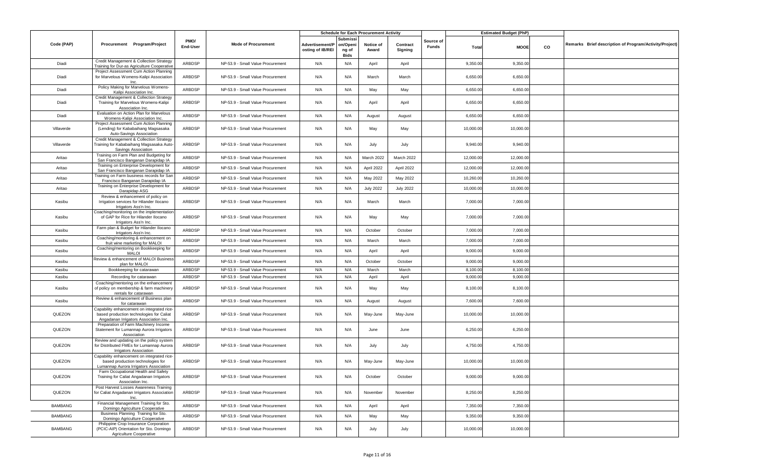|                |                                                                                                                                 |                         |                                   |                                     |                                       | <b>Schedule for Each Procurement Activity</b> |                     |                    |              | <b>Estimated Budget (PhP)</b> |    |                                                        |
|----------------|---------------------------------------------------------------------------------------------------------------------------------|-------------------------|-----------------------------------|-------------------------------------|---------------------------------------|-----------------------------------------------|---------------------|--------------------|--------------|-------------------------------|----|--------------------------------------------------------|
| Code (PAP)     | Procurement Program/Project                                                                                                     | PMO/<br><b>End-User</b> | <b>Mode of Procurement</b>        | Advertisement/P<br>osting of IB/REI | Submissi<br>on/Openi<br>ng of<br>Bids | Notice of<br>Award                            | Contract<br>Signing | Source of<br>Funds | <b>Total</b> | <b>MOOE</b>                   | CO | Remarks Brief description of Program/Activity/Project) |
| Diadi          | Credit Management & Collection Strategy<br>Training for Dur-as Agriculture Cooperative                                          | ARBDSP                  | NP-53.9 - Small Value Procurement | N/A                                 | N/A                                   | April                                         | April               |                    | 9,350.00     | 9,350.00                      |    |                                                        |
| Diadi          | Project Assessment Cum Action Planning<br>for Marvelous Womens-Kalipi Association                                               | ARBDSP                  | NP-53.9 - Small Value Procurement | N/A                                 | N/A                                   | March                                         | March               |                    | 6,650.00     | 6,650.00                      |    |                                                        |
| Diadi          | Policy Making for Marvelous Womens-<br>Kalipi Association Inc.                                                                  | ARBDSP                  | NP-53.9 - Small Value Procurement | N/A                                 | N/A                                   | May                                           | May                 |                    | 6,650.00     | 6,650.00                      |    |                                                        |
| Diadi          | Credit Management & Collection Strategy<br>Training for Marvelous Womens-Kalipi<br>Association Inc.                             | ARBDSP                  | NP-53.9 - Small Value Procurement | N/A                                 | N/A                                   | April                                         | April               |                    | 6,650.00     | 6,650.00                      |    |                                                        |
| Diadi          | Evaluation on Action Plan for Marvelous<br>Womens-Kalipi Association Inc.                                                       | ARBDSP                  | NP-53.9 - Small Value Procurement | N/A                                 | N/A                                   | August                                        | August              |                    | 6,650.00     | 6,650.00                      |    |                                                        |
| Villaverde     | Project Assessment Cum Action Planning<br>(Lending) for Kababaihang Magsasaka<br>Auto-Savings Association                       | ARBDSP                  | NP-53.9 - Small Value Procurement | N/A                                 | N/A                                   | May                                           | May                 |                    | 10,000.00    | 10,000.00                     |    |                                                        |
| Villaverde     | Credit Management & Collection Strategy<br>Training for Kababaihang Magsasaka Auto-<br>Savings Association                      | ARBDSP                  | NP-53.9 - Small Value Procurement | N/A                                 | N/A                                   | July                                          | July                |                    | 9,940.00     | 9,940.00                      |    |                                                        |
| Aritao         | Training on Farm Plan and Budgeting for<br>San Francisco Banganan Darapidap IA                                                  | ARBDSP                  | NP-53.9 - Small Value Procurement | N/A                                 | N/A                                   | March 2022                                    | March 2022          |                    | 12,000.00    | 12,000.00                     |    |                                                        |
| Aritao         | Training on Enterprise Development for<br>San Francisco Banganan Darapidap IA                                                   | ARBDSP                  | NP-53.9 - Small Value Procurement | N/A                                 | N/A                                   | April 2022                                    | April 2022          |                    | 12,000.00    | 12,000.00                     |    |                                                        |
| Aritao         | Training on Farm business records for San<br>Francisco Banganan Darapidap IA                                                    | ARBDSP                  | NP-53.9 - Small Value Procurement | N/A                                 | N/A                                   | May 2022                                      | May 2022            |                    | 10,260.00    | 10,260.00                     |    |                                                        |
| Aritao         | Training on Enterprise Development for<br>Darapidap ASG                                                                         | ARBDSP                  | NP-53.9 - Small Value Procurement | N/A                                 | N/A                                   | <b>July 2022</b>                              | <b>July 2022</b>    |                    | 10,000.00    | 10,000.00                     |    |                                                        |
| Kasibu         | Review & enhancement of policy on<br>Irrigation services for Hilander Ilocano<br>Irrigators Ass'n Inc.                          | ARBDSP                  | NP-53.9 - Small Value Procurement | N/A                                 | N/A                                   | March                                         | March               |                    | 7,000.00     | 7,000.00                      |    |                                                        |
| Kasibu         | Coaching/monitoring on the implementation<br>of GAP for Rice for Hilander Ilocano<br>Irrigators Ass'n Inc.                      | ARBDSP                  | NP-53.9 - Small Value Procurement | N/A                                 | N/A                                   | May                                           | May                 |                    | 7,000.00     | 7,000.00                      |    |                                                        |
| Kasibu         | Farm plan & Budget for Hilander Ilocano<br>Irrigators Ass'n Inc.                                                                | ARBDSP                  | NP-53.9 - Small Value Procurement | N/A                                 | N/A                                   | October                                       | October             |                    | 7,000.00     | 7,000.00                      |    |                                                        |
| Kasibu         | Coaching/monitoring & enhancement on<br>fruit wine marketing for MALOI                                                          | ARBDSP                  | NP-53.9 - Small Value Procurement | N/A                                 | N/A                                   | March                                         | March               |                    | 7,000.00     | 7,000.00                      |    |                                                        |
| Kasibu         | Coaching/mentoring on Bookkeeping for<br><b>MALOI</b>                                                                           | ARBDSP                  | NP-53.9 - Small Value Procurement | N/A                                 | N/A                                   | April                                         | April               |                    | 9,000.00     | 9,000.00                      |    |                                                        |
| Kasibu         | Review & enhancement of MALOI Business<br>plan for MALOI                                                                        | ARBDSP                  | NP-53.9 - Small Value Procurement | N/A                                 | N/A                                   | October                                       | October             |                    | 9,000.00     | 9,000.00                      |    |                                                        |
| Kasibu         | Bookkeeping for catarawan                                                                                                       | ARBDSP                  | NP-53.9 - Small Value Procurement | N/A                                 | N/A                                   | March                                         | March               |                    | 8,100.00     | 8,100.00                      |    |                                                        |
| Kasibu         | Recording for catarawan                                                                                                         | ARBDSP                  | NP-53.9 - Small Value Procurement | N/A                                 | N/A                                   | April                                         | April               |                    | 9,000.00     | 9,000.00                      |    |                                                        |
| Kasibu         | Coaching/mentoring on the enhancement<br>of policy on membership & farm machinery<br>rentals for catarawan                      | ARBDSP                  | NP-53.9 - Small Value Procurement | N/A                                 | N/A                                   | May                                           | May                 |                    | 8,100.00     | 8,100.00                      |    |                                                        |
| Kasibu         | Review & enhancement of Business plan<br>for catarawan                                                                          | ARBDSP                  | NP-53.9 - Small Value Procurement | N/A                                 | N/A                                   | August                                        | August              |                    | 7,600.00     | 7,600.00                      |    |                                                        |
| QUEZON         | Capability enhancement on integrated rice-<br>based production technologies for Caliat<br>Angadanan Irrigators Association Inc. | ARBDSP                  | NP-53.9 - Small Value Procurement | N/A                                 | N/A                                   | May-June                                      | May-June            |                    | 10,000.00    | 10,000.00                     |    |                                                        |
| QUEZON         | Preparation of Farm Machinery Income<br>Statement for Lumannap Aurora Irrigators<br>Association                                 | ARBDSP                  | NP-53.9 - Small Value Procurement | N/A                                 | N/A                                   | June                                          | June                |                    | 6,250.00     | 6,250.00                      |    |                                                        |
| QUEZON         | Review and updating on the policy system<br>for Distributed FMEs for Lumannap Aurora<br><b>Irrigators Association</b>           | ARBDSP                  | NP-53.9 - Small Value Procurement | N/A                                 | N/A                                   | July                                          | July                |                    | 4,750.00     | 4,750.00                      |    |                                                        |
| QUEZON         | Capability enhancement on integrated rice-<br>based production technologies for<br>Lumannap Aurora Irrigators Association       | ARBDSP                  | NP-53.9 - Small Value Procurement | N/A                                 | N/A                                   | May-June                                      | May-June            |                    | 10,000.00    | 10,000.00                     |    |                                                        |
| QUEZON         | Farm Occupational Health and Safety<br>Training for Caliat Angadanan Irrigators<br>Association Inc.                             | ARBDSP                  | NP-53.9 - Small Value Procurement | N/A                                 | N/A                                   | October                                       | October             |                    | 9,000.00     | 9,000.00                      |    |                                                        |
| QUEZON         | Post Harvest Losses Awareness Training<br>for Caliat Angadanan Irrigators Association<br>Inc.                                   | ARBDSP                  | NP-53.9 - Small Value Procurement | N/A                                 | N/A                                   | November                                      | November            |                    | 8,250.00     | 8,250.00                      |    |                                                        |
| <b>BAMBANG</b> | Financial Management Training for Sto.<br>Domingo Agriculture Cooperative                                                       | ARBDSP                  | NP-53.9 - Small Value Procurement | N/A                                 | N/A                                   | April                                         | April               |                    | 7,350.00     | 7,350.00                      |    |                                                        |
| <b>BAMBANG</b> | Business Planning Training for Sto.<br>Domingo Agriculture Cooperative                                                          | ARBDSP                  | NP-53.9 - Small Value Procurement | N/A                                 | N/A                                   | May                                           | May                 |                    | 9,350.00     | 9,350.00                      |    |                                                        |
| <b>BAMBANG</b> | Philippine Crop Insurance Corporation<br>(PCIC-AIP) Orientation for Sto. Domingo<br>Agriculture Cooperative                     | ARBDSP                  | NP-53.9 - Small Value Procurement | N/A                                 | N/A                                   | July                                          | July                |                    | 10,000.00    | 10,000.00                     |    |                                                        |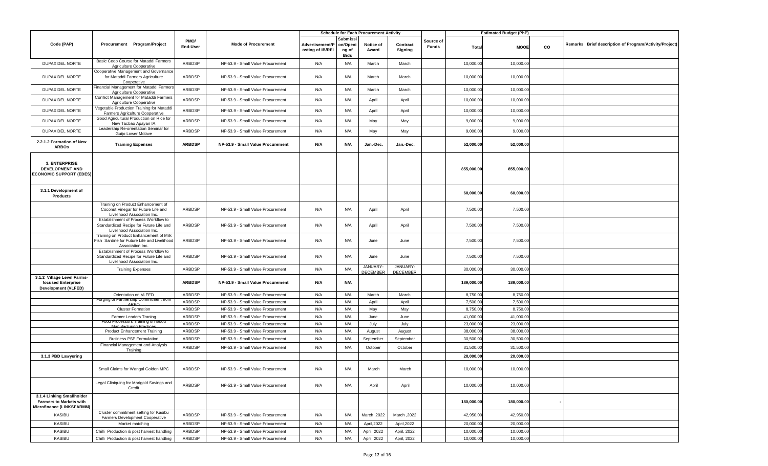|                                                                                          |                                                                                                                |                  |                                   |                                     |                                       | <b>Schedule for Each Procurement Activity</b> |                             |                    |            | <b>Estimated Budget (PhP)</b> |    |                                                        |
|------------------------------------------------------------------------------------------|----------------------------------------------------------------------------------------------------------------|------------------|-----------------------------------|-------------------------------------|---------------------------------------|-----------------------------------------------|-----------------------------|--------------------|------------|-------------------------------|----|--------------------------------------------------------|
| Code (PAP)                                                                               | Procurement Program/Project                                                                                    | PMO/<br>End-User | <b>Mode of Procurement</b>        | Advertisement/P<br>osting of IB/REI | Submissi<br>on/Openi<br>ng of<br>Bids | Notice of<br>Award                            | Contract<br>Signing         | Source of<br>Funds | Total      | <b>MOOE</b>                   | CO | Remarks Brief description of Program/Activity/Project) |
| DUPAX DEL NORTE                                                                          | Basic Coop Course for Mataddi Farmers<br>Agriculture Cooperative                                               | ARBDSP           | NP-53.9 - Small Value Procurement | N/A                                 | N/A                                   | March                                         | March                       |                    | 10,000.00  | 10,000.00                     |    |                                                        |
| DUPAX DEL NORTE                                                                          | Cooperative Management and Governance<br>for Mataddi Farmers Agriculture<br>Cooperative                        | ARBDSP           | NP-53.9 - Small Value Procurement | N/A                                 | N/A                                   | March                                         | March                       |                    | 10,000.00  | 10,000.00                     |    |                                                        |
| DUPAX DEL NORTE                                                                          | Financial Management for Mataddi Farmers<br>Agriculture Cooperative                                            | ARBDSP           | NP-53.9 - Small Value Procurement | N/A                                 | N/A                                   | March                                         | March                       |                    | 10,000.00  | 10,000.00                     |    |                                                        |
| DUPAX DEL NORTE                                                                          | Conflict Management for Mataddi Farmers<br>Agriculture Cooperative                                             | ARBDSP           | NP-53.9 - Small Value Procurement | N/A                                 | N/A                                   | April                                         | April                       |                    | 10,000.00  | 10,000.00                     |    |                                                        |
| DUPAX DEL NORTE                                                                          | Vegetable Production Training for Mataddi<br>Farmers Agriculture Cooperative                                   | ARBDSP           | NP-53.9 - Small Value Procurement | N/A                                 | N/A                                   | April                                         | April                       |                    | 10,000.00  | 10,000.00                     |    |                                                        |
| DUPAX DEL NORTE                                                                          | Good Agricultural Production on Rice for<br>New Tacbao Apayan IA                                               | ARBDSP           | NP-53.9 - Small Value Procurement | N/A                                 | N/A                                   | May                                           | May                         |                    | 9,000.00   | 9,000.00                      |    |                                                        |
| DUPAX DEL NORTE                                                                          | Leadership Re-orientation Seminar for<br>Guijo Lower Molave                                                    | ARBDSP           | NP-53.9 - Small Value Procurement | N/A                                 | N/A                                   | May                                           | May                         |                    | 9,000.00   | 9,000.00                      |    |                                                        |
| 2.2.1.2 Formation of New<br><b>ARBOS</b>                                                 | <b>Training Expenses</b>                                                                                       | <b>ARBDSP</b>    | NP-53.9 - Small Value Procurement | N/A                                 | N/A                                   | Jan.-Dec.                                     | Jan. Dec.                   |                    | 52,000.00  | 52,000.00                     |    |                                                        |
| 3. ENTERPRISE<br><b>DEVELOPMENT AND</b><br><b>ECONOMIC SUPPORT (EDES)</b>                |                                                                                                                |                  |                                   |                                     |                                       |                                               |                             |                    | 855,000.00 | 855,000.00                    |    |                                                        |
| 3.1.1 Development of<br><b>Products</b>                                                  |                                                                                                                |                  |                                   |                                     |                                       |                                               |                             |                    | 60,000.00  | 60,000.00                     |    |                                                        |
|                                                                                          | Training on Product Enhancement of<br>Coconut Vinegar for Future Life and<br>Livelihood Association Inc.       | ARBDSP           | NP-53.9 - Small Value Procurement | N/A                                 | N/A                                   | April                                         | April                       |                    | 7,500.00   | 7,500.00                      |    |                                                        |
|                                                                                          | Establishment of Process Workflow to<br>Standardized Recipe for Future Life and<br>Livelihood Association Inc. | ARBDSP           | NP-53.9 - Small Value Procurement | N/A                                 | N/A                                   | April                                         | April                       |                    | 7,500.00   | 7,500.00                      |    |                                                        |
|                                                                                          | Training on Product Enhancement of Milk<br>Fish Sardine for Future Life and Livelihood<br>Association Inc.     | ARBDSP           | NP-53.9 - Small Value Procurement | N/A                                 | N/A                                   | June                                          | June                        |                    | 7,500.00   | 7,500.00                      |    |                                                        |
|                                                                                          | Establishment of Process Workflow to<br>Standardized Recipe for Future Life and<br>Livelihood Association Inc. | ARBDSP           | NP-53.9 - Small Value Procurement | N/A                                 | N/A                                   | June                                          | June                        |                    | 7,500.00   | 7,500.00                      |    |                                                        |
|                                                                                          | <b>Training Expenses</b>                                                                                       | ARBDSP           | NP-53.9 - Small Value Procurement | N/A                                 | N/A                                   | JANUARY-<br><b>DECEMBER</b>                   | JANUARY-<br><b>DECEMBER</b> |                    | 30,000.00  | 30,000.00                     |    |                                                        |
| 3.1.2 Village Level Farms-<br>focused Enterprise<br><b>Development (VLFED)</b>           |                                                                                                                | <b>ARBDSP</b>    | NP-53.9 - Small Value Procurement | N/A                                 | N/A                                   |                                               |                             |                    | 189,000.00 | 189,000.00                    |    |                                                        |
|                                                                                          | Orientation on VLFED                                                                                           | ARBDSP           | NP-53.9 - Small Value Procurement | N/A                                 | N/A                                   | March                                         | March                       |                    | 8,750.00   | 8,750.00                      |    |                                                        |
|                                                                                          | Forging of Partnership Commitment from<br>ARRO                                                                 | ARBDSP           | NP-53.9 - Small Value Procurement | N/A                                 | N/A                                   | April                                         | April                       |                    | 7,500.00   | 7,500.00                      |    |                                                        |
|                                                                                          | <b>Cluster Formation</b>                                                                                       | ARBDSP           | NP-53.9 - Small Value Procurement | N/A                                 | N/A                                   | May                                           | May                         |                    | 8,750.00   | 8,750.00                      |    |                                                        |
|                                                                                          | <b>Farmer Leaders Traning</b>                                                                                  | ARBDSP           | NP-53.9 - Small Value Procurement | N/A                                 | N/A                                   | June                                          | June                        |                    | 41,000.00  | 41,000.00                     |    |                                                        |
|                                                                                          | Food Processors Training on Good<br>Manufacturing Practice                                                     | ARBDSP           | NP-53.9 - Small Value Procurement | N/A                                 | N/A                                   | July                                          | July                        |                    | 23,000.00  | 23,000.00                     |    |                                                        |
|                                                                                          | <b>Product Enhancement Training</b>                                                                            | ARBDSP           | NP-53.9 - Small Value Procurement | N/A                                 | N/A                                   | August                                        | August                      |                    | 38,000.00  | 38,000.00                     |    |                                                        |
|                                                                                          | <b>Business PSP Formulation</b><br>Financial Management and Analysis                                           | ARBDSP           | NP-53.9 - Small Value Procurement | N/A                                 | N/A                                   | September                                     | September                   |                    | 30,500.00  | 30,500.00                     |    |                                                        |
|                                                                                          | Training                                                                                                       | ARBDSP           | NP-53.9 - Small Value Procurement | N/A                                 | N/A                                   | October                                       | October                     |                    | 31,500.00  | 31,500.00                     |    |                                                        |
| 3.1.3 PBD Lawyering                                                                      |                                                                                                                |                  |                                   |                                     |                                       |                                               |                             |                    | 20,000.00  | 20,000.00                     |    |                                                        |
|                                                                                          | Small Claims for Wangal Golden MPC                                                                             | ARBDSP           | NP-53.9 - Small Value Procurement | N/A                                 | N/A                                   | March                                         | March                       |                    | 10,000.00  | 10,000.00                     |    |                                                        |
|                                                                                          | Legal Cliniquing for Marigold Savings and<br>Credit                                                            | ARBDSP           | NP-53.9 - Small Value Procurement | N/A                                 | N/A                                   | April                                         | April                       |                    | 10,000.00  | 10,000.00                     |    |                                                        |
| 3.1.4 Linking Smallholder<br><b>Farmers to Markets with</b><br>Microfinance (LINKSFARMM) |                                                                                                                |                  |                                   |                                     |                                       |                                               |                             |                    | 180,000.00 | 180,000.00                    |    |                                                        |
| KASIBU                                                                                   | Cluster commitment setting for Kasibu<br>Farmers Development Cooperative                                       | ARBDSP           | NP-53.9 - Small Value Procurement | N/A                                 | N/A                                   | March, 2022                                   | March .2022                 |                    | 42,950.00  | 42,950.00                     |    |                                                        |
| KASIBU                                                                                   | Market matching                                                                                                | ARBDSP           | NP-53.9 - Small Value Procurement | N/A                                 | N/A                                   | April, 2022                                   | April, 2022                 |                    | 20,000.00  | 20,000.00                     |    |                                                        |
| <b>KASIBU</b>                                                                            | Chilli Production & post harvest handling                                                                      | ARBDSP           | NP-53.9 - Small Value Procurement | N/A                                 | N/A                                   | April, 2022                                   | April, 2022                 |                    | 10,000.00  | 10,000.00                     |    |                                                        |
| KASIBU                                                                                   | Chilli Production & post harvest handling                                                                      | ARBDSP           | NP-53.9 - Small Value Procurement | N/A                                 | N/A                                   | April, 2022                                   | April, 2022                 |                    | 10,000.00  | 10,000.00                     |    |                                                        |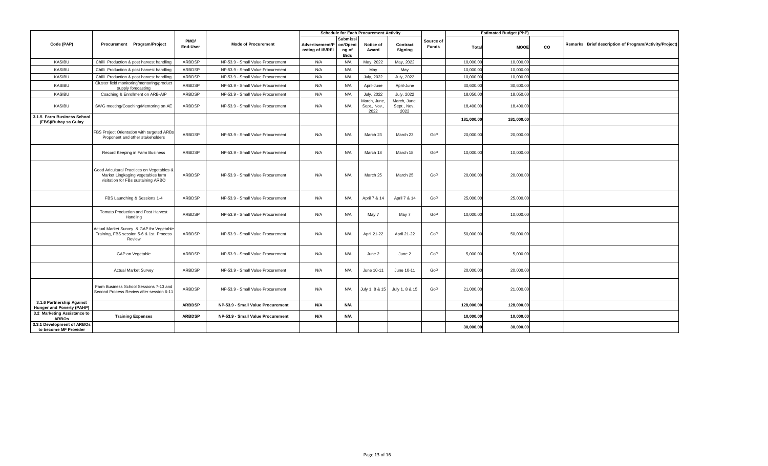|                                                        |                                                                                                                       | <b>Schedule for Each Procurement Activity</b> |                                   |                                     |                                                     |                                      |                                      |                    | <b>Estimated Budget (PhP)</b> |             |    |                                                        |
|--------------------------------------------------------|-----------------------------------------------------------------------------------------------------------------------|-----------------------------------------------|-----------------------------------|-------------------------------------|-----------------------------------------------------|--------------------------------------|--------------------------------------|--------------------|-------------------------------|-------------|----|--------------------------------------------------------|
| Code (PAP)                                             | Procurement Program/Project                                                                                           | PMO/<br>End-User                              | <b>Mode of Procurement</b>        | Advertisement/P<br>osting of IB/REI | <b>Submissi</b><br>on/Openi<br>ng of<br><b>Bids</b> | Notice of<br>Award                   | Contract<br>Signing                  | Source of<br>Funds | Total                         | <b>MOOE</b> | co | Remarks Brief description of Program/Activity/Project) |
| KASIBU                                                 | Chilli Production & post harvest handling                                                                             | ARBDSP                                        | NP-53.9 - Small Value Procurement | N/A                                 | N/A                                                 | May, 2022                            | May, 2022                            |                    | 10,000.00                     | 10,000.00   |    |                                                        |
| <b>KASIBU</b>                                          | Chilli Production & post harvest handling                                                                             | ARBDSP                                        | NP-53.9 - Small Value Procurement | N/A                                 | N/A                                                 | May                                  | May                                  |                    | 10,000.0                      | 10,000.00   |    |                                                        |
| <b>KASIBU</b>                                          | Chilli Production & post harvest handling                                                                             | ARBDSP                                        | NP-53.9 - Small Value Procurement | N/A                                 | N/A                                                 | July, 2022                           | <b>July, 2022</b>                    |                    | 10,000.0                      | 10,000.00   |    |                                                        |
| KASIBU                                                 | Cluster field monitoring/mentoring/product<br>supply forecasting                                                      | ARBDSP                                        | NP-53.9 - Small Value Procurement | N/A                                 | N/A                                                 | April-June                           | April-June                           |                    | 30,600.0                      | 30,600.00   |    |                                                        |
| KASIBU                                                 | Coaching & Enrollment on ARB-AIP                                                                                      | ARBDSP                                        | NP-53.9 - Small Value Procurement | N/A                                 | N/A                                                 | <b>July, 2022</b>                    | July, 2022                           |                    | 18,050.0                      | 18,050.00   |    |                                                        |
| KASIBU                                                 | SWG meeting/Coaching/Mentoring on AE                                                                                  | ARBDSP                                        | NP-53.9 - Small Value Procurement | N/A                                 | N/A                                                 | March, June.<br>Sept., Nov.,<br>2022 | March, June,<br>Sept., Nov.,<br>2022 |                    | 18,400.00                     | 18,400.00   |    |                                                        |
| 3.1.5 Farm Business School<br>(FBS)/Buhay sa Gulay     |                                                                                                                       |                                               |                                   |                                     |                                                     |                                      |                                      |                    | 181,000.00                    | 181,000.00  |    |                                                        |
|                                                        | FBS Project Orientation with targeted ARBs<br>Proponent and other stakeholders                                        | ARBDSP                                        | NP-53.9 - Small Value Procurement | N/A                                 | N/A                                                 | March 23                             | March 23                             | GoP                | 20,000.00                     | 20,000.00   |    |                                                        |
|                                                        | Record Keeping in Farm Business                                                                                       | ARBDSP                                        | NP-53.9 - Small Value Procurement | N/A                                 | N/A                                                 | March 18                             | March 18                             | GoP                | 10,000.00                     | 10,000.00   |    |                                                        |
|                                                        | Good Aricultural Practices on Vegetables &<br>Market Lingkaging vegetables farm<br>visitation for FBs sustaining ARBO | ARBDSP                                        | NP-53.9 - Small Value Procurement | N/A                                 | N/A                                                 | March 25                             | March 25                             | GoP                | 20,000.00                     | 20,000.00   |    |                                                        |
|                                                        | FBS Launching & Sessions 1-4                                                                                          | ARBDSP                                        | NP-53.9 - Small Value Procurement | N/A                                 | N/A                                                 | April 7 & 14                         | April 7 & 14                         | GoP                | 25,000.00                     | 25,000.00   |    |                                                        |
|                                                        | Tomato Production and Post Harvest<br>Handling                                                                        | ARBDSP                                        | NP-53.9 - Small Value Procurement | N/A                                 | N/A                                                 | May 7                                | May 7                                | GoP                | 10,000.00                     | 10,000.00   |    |                                                        |
|                                                        | Actual Market Survey & GAP for Vegetable<br>Training, FBS session 5-6 & 1st Process<br>Review                         | ARBDSP                                        | NP-53.9 - Small Value Procurement | N/A                                 | N/A                                                 | April 21-22                          | April 21-22                          | GoP                | 50,000.00                     | 50,000.00   |    |                                                        |
|                                                        | GAP on Vegetable                                                                                                      | ARBDSP                                        | NP-53.9 - Small Value Procurement | N/A                                 | N/A                                                 | June 2                               | June 2                               | GoP                | 5,000.00                      | 5,000.00    |    |                                                        |
|                                                        | <b>Actual Market Survey</b>                                                                                           | ARBDSP                                        | NP-53.9 - Small Value Procurement | N/A                                 | N/A                                                 | June 10-11                           | June 10-11                           | GoP                | 20,000.00                     | 20,000.00   |    |                                                        |
|                                                        | Farm Business School Sessions 7-13 and<br>Second Process Review after session 6-11                                    | ARBDSP                                        | NP-53.9 - Small Value Procurement | N/A                                 | N/A                                                 | July 1, 8 & 15                       | July 1, 8 & 15                       | GoP                | 21,000.00                     | 21,000.00   |    |                                                        |
| 3.1.6 Partnership Against<br>Hunger and Poverty (PAHP) |                                                                                                                       | <b>ARBDSP</b>                                 | NP-53.9 - Small Value Procurement | N/A                                 | N/A                                                 |                                      |                                      |                    | 128,000.00                    | 128,000.00  |    |                                                        |
| 3.2 Marketing Assistance to<br><b>ARBOs</b>            | <b>Training Expenses</b>                                                                                              | <b>ARBDSP</b>                                 | NP-53.9 - Small Value Procurement | N/A                                 | N/A                                                 |                                      |                                      |                    | 10,000.00                     | 10,000.00   |    |                                                        |
| 3.3.1 Development of ARBOs<br>to become MF Provider    |                                                                                                                       |                                               |                                   |                                     |                                                     |                                      |                                      |                    | 30,000.00                     | 30,000.00   |    |                                                        |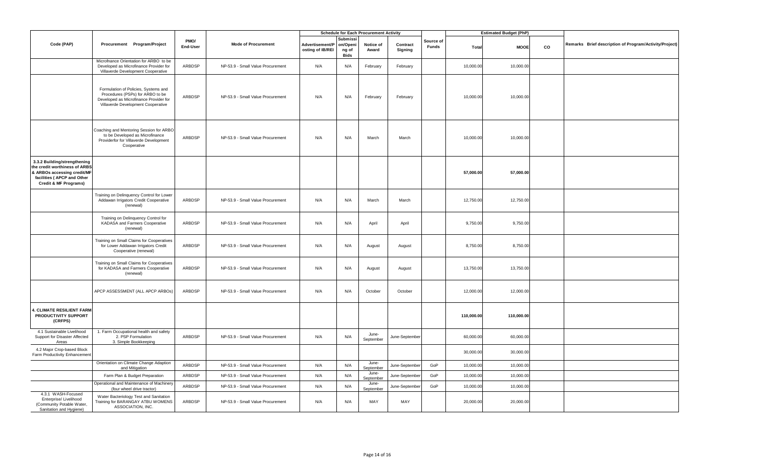|                                                                                                                                                      |                                                                                                                                                          |                  |                                   | <b>Schedule for Each Procurement Activity</b> |                                              |                    |                     | <b>Estimated Budget (PhP)</b> |            |             |    |                                                        |
|------------------------------------------------------------------------------------------------------------------------------------------------------|----------------------------------------------------------------------------------------------------------------------------------------------------------|------------------|-----------------------------------|-----------------------------------------------|----------------------------------------------|--------------------|---------------------|-------------------------------|------------|-------------|----|--------------------------------------------------------|
| Code (PAP)                                                                                                                                           | Procurement Program/Project                                                                                                                              | PMO/<br>End-User | Mode of Procurement               | Advertisement/P<br>osting of IB/REI           | Submissi<br>on/Openi<br>ng of<br><b>Bids</b> | Notice of<br>Award | Contract<br>Signing | Source of<br><b>Funds</b>     | Total      | <b>MOOE</b> | co | Remarks Brief description of Program/Activity/Project) |
|                                                                                                                                                      | Microfnance Orientation for ARBO to be<br>Developed as Microfinance Provider for<br>Villaverde Development Cooperative                                   | ARBDSP           | NP-53.9 - Small Value Procurement | N/A                                           | N/A                                          | February           | February            |                               | 10,000.00  | 10,000.00   |    |                                                        |
|                                                                                                                                                      | Formulation of Policies, Systems and<br>Procedures (PSPs) for ARBO to be<br>Developed as Microfinance Provider for<br>Villaverde Development Cooperative | ARBDSP           | NP-53.9 - Small Value Procurement | N/A                                           | N/A                                          | February           | February            |                               | 10,000.00  | 10,000.00   |    |                                                        |
|                                                                                                                                                      | Coaching and Mentoring Session for ARBO<br>to be Developed as Microfinance<br>Providerfor for Villaverde Development<br>Cooperative                      | ARBDSP           | NP-53.9 - Small Value Procurement | N/A                                           | N/A                                          | March              | March               |                               | 10,000.0   | 10,000.00   |    |                                                        |
| 3.3.2 Building/strengthening<br>the credit worthiness of ARBS<br>& ARBOs accessing credit/MF<br>facilities ( APCP and Other<br>Credit & MF Programs) |                                                                                                                                                          |                  |                                   |                                               |                                              |                    |                     |                               | 57,000.00  | 57,000.00   |    |                                                        |
|                                                                                                                                                      | Training on Delinquency Control for Lower<br>Addawan Irrigators Credit Cooperative<br>(renewal)                                                          | ARBDSP           | NP-53.9 - Small Value Procurement | N/A                                           | N/A                                          | March              | March               |                               | 12,750.00  | 12,750.00   |    |                                                        |
|                                                                                                                                                      | Training on Delinquency Control for<br>KADASA and Farmers Cooperative<br>(renewal)                                                                       | ARBDSP           | NP-53.9 - Small Value Procurement | N/A                                           | N/A                                          | April              | April               |                               | 9,750.00   | 9,750.00    |    |                                                        |
|                                                                                                                                                      | Training on Small Claims for Cooperatives<br>for Lower Addawan Irrigators Credit<br>Cooperative (renewal)                                                | ARBDSP           | NP-53.9 - Small Value Procurement | N/A                                           | N/A                                          | August             | August              |                               | 8,750.00   | 8,750.00    |    |                                                        |
|                                                                                                                                                      | Training on Small Claims for Cooperatives<br>for KADASA and Farmers Cooperative<br>(renewal)                                                             | ARBDSP           | NP-53.9 - Small Value Procurement | N/A                                           | N/A                                          | August             | August              |                               | 13,750.00  | 13,750.00   |    |                                                        |
|                                                                                                                                                      | APCP ASSESSMENT (ALL APCP ARBOS)                                                                                                                         | ARBDSP           | NP-53.9 - Small Value Procurement | N/A                                           | N/A                                          | October            | October             |                               | 12,000.00  | 12,000.00   |    |                                                        |
| 4. CLIMATE RESILIENT FARM<br>PRODUCTIVITY SUPPORT<br>(CRFPS)                                                                                         |                                                                                                                                                          |                  |                                   |                                               |                                              |                    |                     |                               | 110,000.00 | 110,000.00  |    |                                                        |
| 4.1 Sustainable Livelihood<br>Support for Disaster Affected<br>Areas                                                                                 | 1. Farm Occupational health and safety<br>2. PSP Formulation<br>3. Simple Bookkeeping                                                                    | ARBDSP           | NP-53.9 - Small Value Procurement | N/A                                           | N/A                                          | June-<br>September | June-September      |                               | 60,000.00  | 60,000.00   |    |                                                        |
| 4.2 Major Crop-based Block<br>Farm Productivity Enhancemen                                                                                           |                                                                                                                                                          |                  |                                   |                                               |                                              |                    |                     |                               | 30,000.00  | 30,000.00   |    |                                                        |
|                                                                                                                                                      | Orientation on Climate Change Adaption<br>and Mitigation                                                                                                 | ARBDSP           | NP-53.9 - Small Value Procurement | N/A                                           | N/A                                          | June-<br>September | June-September      | GoP                           | 10,000.00  | 10,000.00   |    |                                                        |
|                                                                                                                                                      | Farm Plan & Budget Preparation                                                                                                                           | ARBDSP           | NP-53.9 - Small Value Procurement | N/A                                           | N/A                                          | June-<br>September | June-Septembe       | GoP                           | 10,000.00  | 10,000.00   |    |                                                        |
|                                                                                                                                                      | Operational and Maintenance of Machinery<br>(four wheel drive tractor)                                                                                   | ARBDSP           | NP-53.9 - Small Value Procurement | N/A                                           | N/A                                          | June-<br>September | June-September      | GoP                           | 10,000.0   | 10,000.00   |    |                                                        |
| 4.3.1 WASH-Focused<br>Enterprise/ Livelihood<br>(Community Potable Water,<br>Sanitation and Hygiene)                                                 | Water Bacteriology Test and Sanitation<br>Training for BARANGAY ATBU WOMENS<br>ASSOCIATION, INC.                                                         | ARBDSP           | NP-53.9 - Small Value Procurement | N/A                                           | N/A                                          | MAY                | MAY                 |                               | 20,000.00  | 20,000.00   |    |                                                        |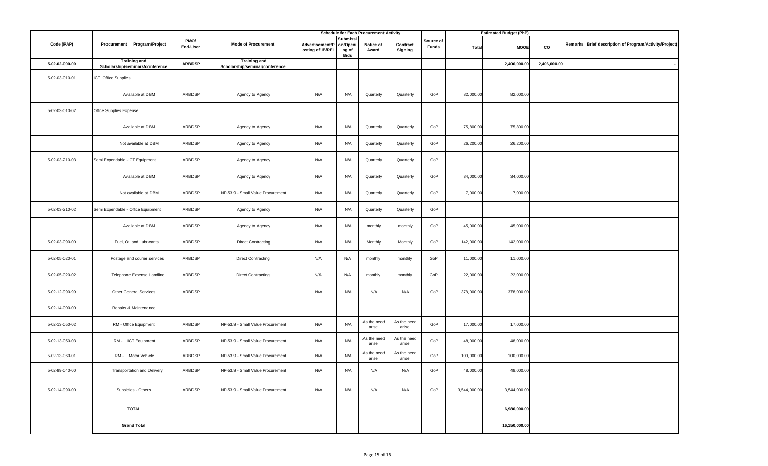|                |                                                        |                  |                                                       | <b>Schedule for Each Procurement Activity</b> |                                       |                      |                      |                           |              | <b>Estimated Budget (PhP)</b> |              |                                                        |
|----------------|--------------------------------------------------------|------------------|-------------------------------------------------------|-----------------------------------------------|---------------------------------------|----------------------|----------------------|---------------------------|--------------|-------------------------------|--------------|--------------------------------------------------------|
| Code (PAP)     | Procurement Program/Project                            | PMO/<br>End-User | <b>Mode of Procurement</b>                            | Advertisement/P<br>osting of IB/REI           | Submissi<br>on/Openi<br>ng of<br>Bids | Notice of<br>Award   | Contract<br>Signing  | Source of<br><b>Funds</b> | Total        | <b>MOOE</b>                   | co           | Remarks Brief description of Program/Activity/Project) |
| 5-02-02-000-00 | <b>Training and</b><br>Scholarship/seminars/conference | <b>ARBDSP</b>    | <b>Training and</b><br>Scholarship/seminar/conference |                                               |                                       |                      |                      |                           |              | 2,406,000.00                  | 2,406,000.00 |                                                        |
| 5-02-03-010-01 | ICT Office Supplies                                    |                  |                                                       |                                               |                                       |                      |                      |                           |              |                               |              |                                                        |
|                | Available at DBM                                       | ARBDSP           | Agency to Agency                                      | N/A                                           | N/A                                   | Quarterly            | Quarterly            | GoP                       | 82,000.00    | 82,000.00                     |              |                                                        |
| 5-02-03-010-02 | Office Supplies Expense                                |                  |                                                       |                                               |                                       |                      |                      |                           |              |                               |              |                                                        |
|                | Available at DBM                                       | ARBDSP           | Agency to Agency                                      | N/A                                           | N/A                                   | Quarterly            | Quarterly            | GoP                       | 75,800.00    | 75,800.00                     |              |                                                        |
|                | Not available at DBM                                   | ARBDSP           | Agency to Agency                                      | N/A                                           | N/A                                   | Quarterly            | Quarterly            | GoP                       | 26,200.00    | 26,200.00                     |              |                                                        |
| 5-02-03-210-03 | Semi Expendable -ICT Equipment                         | ARBDSP           | Agency to Agency                                      | N/A                                           | N/A                                   | Quarterly            | Quarterly            | GoP                       |              |                               |              |                                                        |
|                | Available at DBM                                       | ARBDSP           | Agency to Agency                                      | N/A                                           | N/A                                   | Quarterly            | Quarterly            | GoP                       | 34,000.00    | 34,000.00                     |              |                                                        |
|                | Not available at DBM                                   | ARBDSP           | NP-53.9 - Small Value Procurement                     | N/A                                           | N/A                                   | Quarterly            | Quarterly            | GoP                       | 7,000.00     | 7,000.00                      |              |                                                        |
| 5-02-03-210-02 | Semi Expendable - Office Equipment                     | ARBDSP           | Agency to Agency                                      | N/A                                           | N/A                                   | Quarterly            | Quarterly            | GoP                       |              |                               |              |                                                        |
|                | Available at DBM                                       | ARBDSP           | Agency to Agency                                      | N/A                                           | N/A                                   | monthly              | monthly              | GoP                       | 45,000.00    | 45,000.00                     |              |                                                        |
| 5-02-03-090-00 | Fuel, Oil and Lubricants                               | ARBDSP           | <b>Direct Contracting</b>                             | N/A                                           | N/A                                   | Monthly              | Monthly              | GoP                       | 142,000.00   | 142,000.00                    |              |                                                        |
| 5-02-05-020-01 | Postage and courier services                           | ARBDSP           | <b>Direct Contracting</b>                             | N/A                                           | N/A                                   | monthly              | monthly              | GoP                       | 11,000.00    | 11,000.00                     |              |                                                        |
| 5-02-05-020-02 | Telephone Expense Landline                             | ARBDSP           | <b>Direct Contracting</b>                             | N/A                                           | N/A                                   | monthly              | monthly              | GoP                       | 22,000.00    | 22,000.00                     |              |                                                        |
| 5-02-12-990-99 | <b>Other General Services</b>                          | ARBDSP           |                                                       | N/A                                           | N/A                                   | N/A                  | N/A                  | GoP                       | 378,000.00   | 378,000.00                    |              |                                                        |
| 5-02-14-000-00 | Repairs & Maintenance                                  |                  |                                                       |                                               |                                       |                      |                      |                           |              |                               |              |                                                        |
| 5-02-13-050-02 | RM - Office Equipment                                  | ARBDSP           | NP-53.9 - Small Value Procurement                     | N/A                                           | N/A                                   | As the need<br>arise | As the need<br>arise | GoP                       | 17,000.00    | 17,000.00                     |              |                                                        |
| 5-02-13-050-03 | RM - ICT Equipment                                     | ARBDSP           | NP-53.9 - Small Value Procurement                     | N/A                                           | N/A                                   | As the need<br>arise | As the need<br>arise | GoP                       | 48,000.00    | 48,000.00                     |              |                                                        |
| 5-02-13-060-01 | RM - Motor Vehicle                                     | ARBDSP           | NP-53.9 - Small Value Procurement                     | N/A                                           | N/A                                   | As the need<br>arise | As the need<br>arise | GoP                       | 100,000.00   | 100,000.00                    |              |                                                        |
| 5-02-99-040-00 | <b>Transportation and Delivery</b>                     | ARBDSP           | NP-53.9 - Small Value Procurement                     | N/A                                           | N/A                                   | N/A                  | N/A                  | GoP                       | 48,000.00    | 48,000.00                     |              |                                                        |
| 5-02-14-990-00 | Subsidies - Others                                     | ARBDSP           | NP-53.9 - Small Value Procurement                     | N/A                                           | N/A                                   | N/A                  | N/A                  | GoP                       | 3,544,000.00 | 3,544,000.00                  |              |                                                        |
|                | <b>TOTAL</b>                                           |                  |                                                       |                                               |                                       |                      |                      |                           |              | 6,986,000.00                  |              |                                                        |
|                | <b>Grand Total</b>                                     |                  |                                                       |                                               |                                       |                      |                      |                           |              | 16,150,000.00                 |              |                                                        |